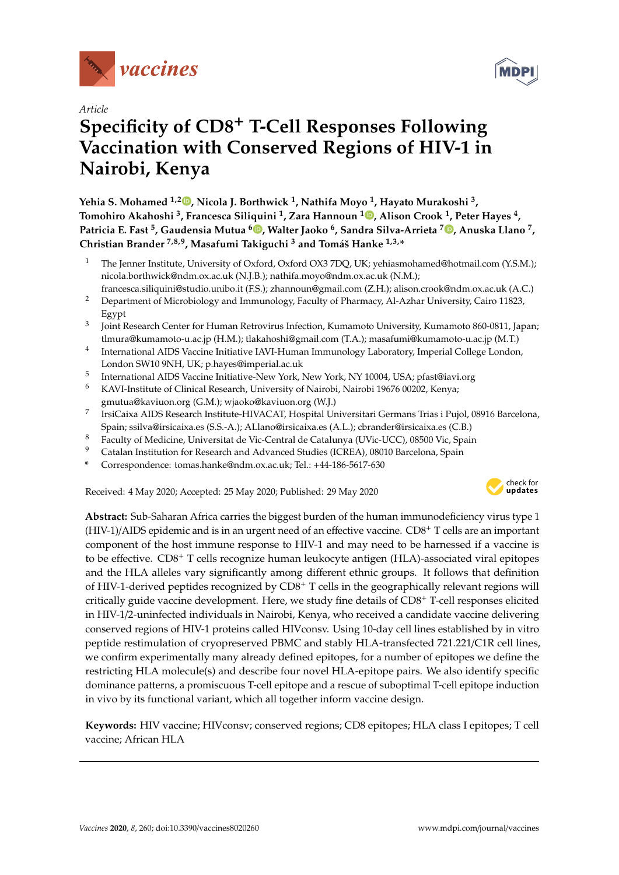

*Article*

# **Specificity of CD8**<sup>+</sup> **T-Cell Responses Following Vaccination with Conserved Regions of HIV-1 in Nairobi, Kenya**

**Yehia S. Mohamed 1,2 , Nicola J. Borthwick <sup>1</sup> , Nathifa Moyo <sup>1</sup> , Hayato Murakoshi <sup>3</sup> , Tomohiro Akahoshi <sup>3</sup> , Francesca Siliquini <sup>1</sup> , Zara Hannoun <sup>1</sup> , Alison Crook <sup>1</sup> , Peter Hayes <sup>4</sup> , Patricia E. Fast <sup>5</sup> , Gaudensia Mutua <sup>6</sup> , Walter Jaoko <sup>6</sup> , Sandra Silva-Arrieta <sup>7</sup> , Anuska Llano <sup>7</sup> , Christian Brander 7,8,9, Masafumi Takiguchi <sup>3</sup> and Tomáš Hanke 1,3,\***

- <sup>1</sup> The Jenner Institute, University of Oxford, Oxford OX3 7DQ, UK; yehiasmohamed@hotmail.com (Y.S.M.); nicola.borthwick@ndm.ox.ac.uk (N.J.B.); nathifa.moyo@ndm.ox.ac.uk (N.M.);
- francesca.siliquini@studio.unibo.it (F.S.); zhannoun@gmail.com (Z.H.); alison.crook@ndm.ox.ac.uk (A.C.) <sup>2</sup> Department of Microbiology and Immunology, Faculty of Pharmacy, Al-Azhar University, Cairo 11823, Egypt
- 3 Joint Research Center for Human Retrovirus Infection, Kumamoto University, Kumamoto 860-0811, Japan; tlmura@kumamoto-u.ac.jp (H.M.); tlakahoshi@gmail.com (T.A.); masafumi@kumamoto-u.ac.jp (M.T.)
- 4 International AIDS Vaccine Initiative IAVI-Human Immunology Laboratory, Imperial College London, London SW10 9NH, UK; p.hayes@imperial.ac.uk
- 5 International AIDS Vaccine Initiative-New York, New York, NY 10004, USA; pfast@iavi.org
- <sup>6</sup> KAVI-Institute of Clinical Research, University of Nairobi, Nairobi 19676 00202, Kenya; gmutua@kaviuon.org (G.M.); wjaoko@kaviuon.org (W.J.)
- 7 IrsiCaixa AIDS Research Institute-HIVACAT, Hospital Universitari Germans Trias i Pujol, 08916 Barcelona, Spain; ssilva@irsicaixa.es (S.S.-A.); ALlano@irsicaixa.es (A.L.); cbrander@irsicaixa.es (C.B.)
- <sup>8</sup> Faculty of Medicine, Universitat de Vic-Central de Catalunya (UVic-UCC), 08500 Vic, Spain<br><sup>9</sup> Catalan Institution for Bessamb and Advanced Studies (ICBEA), 09010 Barselane, Spain
- <sup>9</sup> Catalan Institution for Research and Advanced Studies (ICREA), 08010 Barcelona, Spain
- **\*** Correspondence: tomas.hanke@ndm.ox.ac.uk; Tel.: +44-186-5617-630

Received: 4 May 2020; Accepted: 25 May 2020; Published: 29 May 2020



**Abstract:** Sub-Saharan Africa carries the biggest burden of the human immunodeficiency virus type 1 (HIV-1)/AIDS epidemic and is in an urgent need of an effective vaccine. CD8<sup>+</sup> T cells are an important component of the host immune response to HIV-1 and may need to be harnessed if a vaccine is to be effective. CD8<sup>+</sup> T cells recognize human leukocyte antigen (HLA)-associated viral epitopes and the HLA alleles vary significantly among different ethnic groups. It follows that definition of HIV-1-derived peptides recognized by CD8<sup>+</sup> T cells in the geographically relevant regions will critically guide vaccine development. Here, we study fine details of CD8<sup>+</sup> T-cell responses elicited in HIV-1/2-uninfected individuals in Nairobi, Kenya, who received a candidate vaccine delivering conserved regions of HIV-1 proteins called HIVconsv. Using 10-day cell lines established by in vitro peptide restimulation of cryopreserved PBMC and stably HLA-transfected 721.221/C1R cell lines, we confirm experimentally many already defined epitopes, for a number of epitopes we define the restricting HLA molecule(s) and describe four novel HLA-epitope pairs. We also identify specific dominance patterns, a promiscuous T-cell epitope and a rescue of suboptimal T-cell epitope induction in vivo by its functional variant, which all together inform vaccine design.

**Keywords:** HIV vaccine; HIVconsv; conserved regions; CD8 epitopes; HLA class I epitopes; T cell vaccine; African HLA

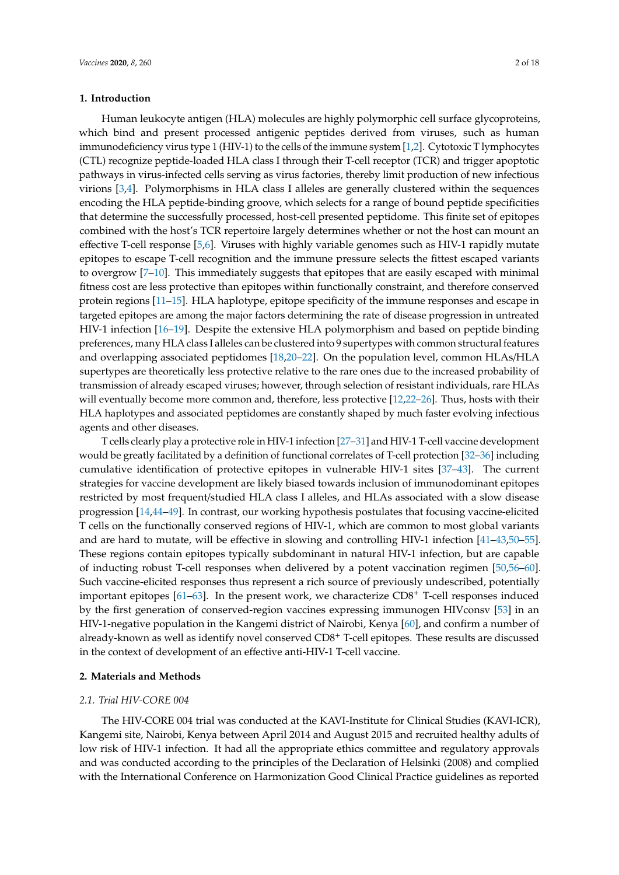## **1. Introduction**

Human leukocyte antigen (HLA) molecules are highly polymorphic cell surface glycoproteins, which bind and present processed antigenic peptides derived from viruses, such as human immunodeficiency virus type 1 (HIV-1) to the cells of the immune system [1,2]. Cytotoxic T lymphocytes (CTL) recognize peptide-loaded HLA class I through their T-cell receptor (TCR) and trigger apoptotic pathways in virus-infected cells serving as virus factories, thereby limit production of new infectious virions [3,4]. Polymorphisms in HLA class I alleles are generally clustered within the sequences encoding the HLA peptide-binding groove, which selects for a range of bound peptide specificities that determine the successfully processed, host-cell presented peptidome. This finite set of epitopes combined with the host's TCR repertoire largely determines whether or not the host can mount an effective T-cell response [5,6]. Viruses with highly variable genomes such as HIV-1 rapidly mutate epitopes to escape T-cell recognition and the immune pressure selects the fittest escaped variants to overgrow [7–10]. This immediately suggests that epitopes that are easily escaped with minimal fitness cost are less protective than epitopes within functionally constraint, and therefore conserved protein regions [11–15]. HLA haplotype, epitope specificity of the immune responses and escape in targeted epitopes are among the major factors determining the rate of disease progression in untreated HIV-1 infection [16–19]. Despite the extensive HLA polymorphism and based on peptide binding preferences, many HLA class I alleles can be clustered into 9 supertypes with common structural features and overlapping associated peptidomes [18,20–22]. On the population level, common HLAs/HLA supertypes are theoretically less protective relative to the rare ones due to the increased probability of transmission of already escaped viruses; however, through selection of resistant individuals, rare HLAs will eventually become more common and, therefore, less protective [12,22–26]. Thus, hosts with their HLA haplotypes and associated peptidomes are constantly shaped by much faster evolving infectious agents and other diseases.

T cells clearly play a protective role in HIV-1 infection [27–31] and HIV-1 T-cell vaccine development would be greatly facilitated by a definition of functional correlates of T-cell protection [32–36] including cumulative identification of protective epitopes in vulnerable HIV-1 sites [37–43]. The current strategies for vaccine development are likely biased towards inclusion of immunodominant epitopes restricted by most frequent/studied HLA class I alleles, and HLAs associated with a slow disease progression [14,44–49]. In contrast, our working hypothesis postulates that focusing vaccine-elicited T cells on the functionally conserved regions of HIV-1, which are common to most global variants and are hard to mutate, will be effective in slowing and controlling HIV-1 infection [41–43,50–55]. These regions contain epitopes typically subdominant in natural HIV-1 infection, but are capable of inducting robust T-cell responses when delivered by a potent vaccination regimen [50,56–60]. Such vaccine-elicited responses thus represent a rich source of previously undescribed, potentially important epitopes [61–63]. In the present work, we characterize CD8<sup>+</sup> T-cell responses induced by the first generation of conserved-region vaccines expressing immunogen HIVconsv [53] in an HIV-1-negative population in the Kangemi district of Nairobi, Kenya [60], and confirm a number of already-known as well as identify novel conserved CD8<sup>+</sup> T-cell epitopes. These results are discussed in the context of development of an effective anti-HIV-1 T-cell vaccine.

# **2. Materials and Methods**

## *2.1. Trial HIV-CORE 004*

The HIV-CORE 004 trial was conducted at the KAVI-Institute for Clinical Studies (KAVI-ICR), Kangemi site, Nairobi, Kenya between April 2014 and August 2015 and recruited healthy adults of low risk of HIV-1 infection. It had all the appropriate ethics committee and regulatory approvals and was conducted according to the principles of the Declaration of Helsinki (2008) and complied with the International Conference on Harmonization Good Clinical Practice guidelines as reported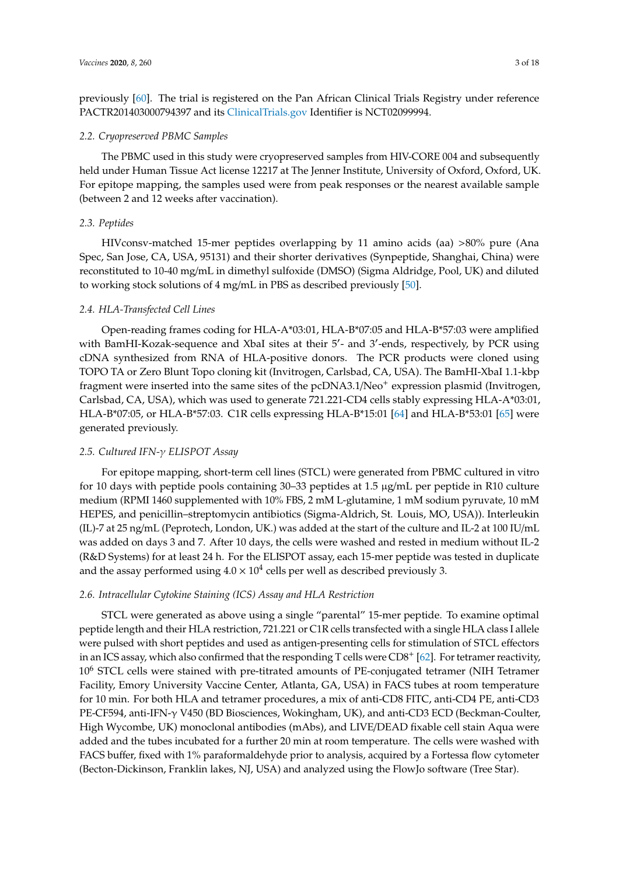previously [60]. The trial is registered on the Pan African Clinical Trials Registry under reference PACTR201403000794397 and its ClinicalTrials.gov Identifier is NCT02099994.

## *2.2. Cryopreserved PBMC Samples*

The PBMC used in this study were cryopreserved samples from HIV-CORE 004 and subsequently held under Human Tissue Act license 12217 at The Jenner Institute, University of Oxford, Oxford, UK. For epitope mapping, the samples used were from peak responses or the nearest available sample (between 2 and 12 weeks after vaccination).

# *2.3. Peptides*

HIVconsv-matched 15-mer peptides overlapping by 11 amino acids (aa) >80% pure (Ana Spec, San Jose, CA, USA, 95131) and their shorter derivatives (Synpeptide, Shanghai, China) were reconstituted to 10-40 mg/mL in dimethyl sulfoxide (DMSO) (Sigma Aldridge, Pool, UK) and diluted to working stock solutions of 4 mg/mL in PBS as described previously [50].

## *2.4. HLA-Transfected Cell Lines*

Open-reading frames coding for HLA-A\*03:01, HLA-B\*07:05 and HLA-B\*57:03 were amplified with BamHI-Kozak-sequence and XbaI sites at their 5'- and 3'-ends, respectively, by PCR using cDNA synthesized from RNA of HLA-positive donors. The PCR products were cloned using TOPO TA or Zero Blunt Topo cloning kit (Invitrogen, Carlsbad, CA, USA). The BamHI-XbaI 1.1-kbp fragment were inserted into the same sites of the pcDNA3.1/Neo<sup>+</sup> expression plasmid (Invitrogen, Carlsbad, CA, USA), which was used to generate 721.221-CD4 cells stably expressing HLA-A\*03:01, HLA-B\*07:05, or HLA-B\*57:03. C1R cells expressing HLA-B\*15:01 [64] and HLA-B\*53:01 [65] were generated previously.

# *2.5. Cultured IFN-*γ *ELISPOT Assay*

For epitope mapping, short-term cell lines (STCL) were generated from PBMC cultured in vitro for 10 days with peptide pools containing 30–33 peptides at 1.5 µg/mL per peptide in R10 culture medium (RPMI 1460 supplemented with 10% FBS, 2 mM L-glutamine, 1 mM sodium pyruvate, 10 mM HEPES, and penicillin–streptomycin antibiotics (Sigma-Aldrich, St. Louis, MO, USA)). Interleukin (IL)-7 at 25 ng/mL (Peprotech, London, UK.) was added at the start of the culture and IL-2 at 100 IU/mL was added on days 3 and 7. After 10 days, the cells were washed and rested in medium without IL-2 (R&D Systems) for at least 24 h. For the ELISPOT assay, each 15-mer peptide was tested in duplicate and the assay performed using  $4.0 \times 10^4$  cells per well as described previously 3.

# *2.6. Intracellular Cytokine Staining (ICS) Assay and HLA Restriction*

STCL were generated as above using a single "parental" 15-mer peptide. To examine optimal peptide length and their HLA restriction, 721.221 or C1R cells transfected with a single HLA class I allele were pulsed with short peptides and used as antigen-presenting cells for stimulation of STCL effectors in an ICS assay, which also confirmed that the responding T cells were  $CD8^+$  [62]. For tetramer reactivity, 10<sup>6</sup> STCL cells were stained with pre-titrated amounts of PE-conjugated tetramer (NIH Tetramer Facility, Emory University Vaccine Center, Atlanta, GA, USA) in FACS tubes at room temperature for 10 min. For both HLA and tetramer procedures, a mix of anti-CD8 FITC, anti-CD4 PE, anti-CD3 PE-CF594, anti-IFN-γ V450 (BD Biosciences, Wokingham, UK), and anti-CD3 ECD (Beckman-Coulter, High Wycombe, UK) monoclonal antibodies (mAbs), and LIVE/DEAD fixable cell stain Aqua were added and the tubes incubated for a further 20 min at room temperature. The cells were washed with FACS buffer, fixed with 1% paraformaldehyde prior to analysis, acquired by a Fortessa flow cytometer (Becton-Dickinson, Franklin lakes, NJ, USA) and analyzed using the FlowJo software (Tree Star).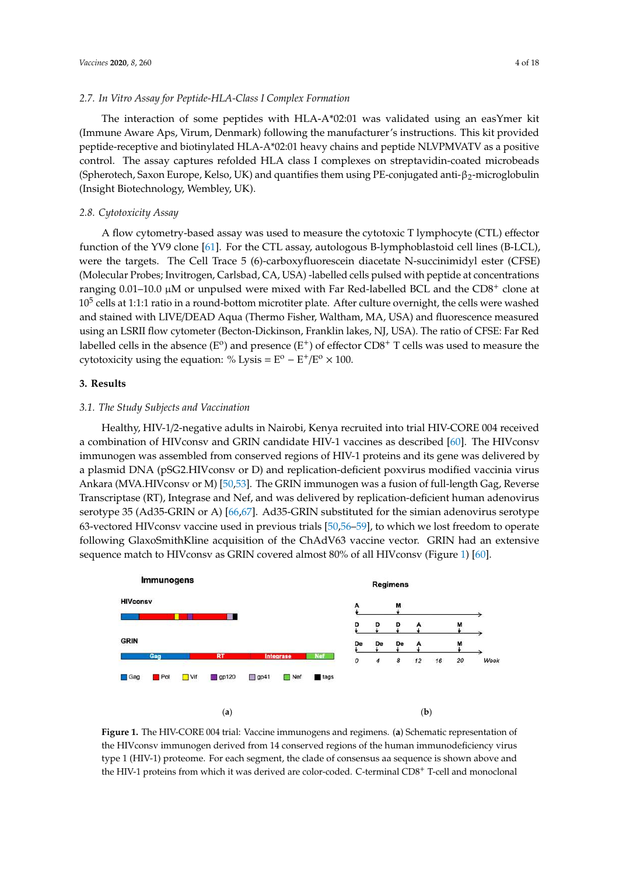#### *2.7. In Vitro Assay for Peptide-HLA-Class I Complex Formation*

The interaction of some peptides with HLA-A\*02:01 was validated using an easYmer kit (Immune Aware Aps, Virum, Denmark) following the manufacturer's instructions. This kit provided peptide-receptive and biotinylated HLA-A\*02:01 heavy chains and peptide NLVPMVATV as a positive control. The assay captures refolded HLA class I complexes on streptavidin-coated microbeads (Spherotech, Saxon Europe, Kelso, UK) and quantifies them using PE-conjugated anti-β<sub>2</sub>-microglobulin (Insight Biotechnology, Wembley, UK).

## *2.8. Cytotoxicity Assay*

A flow cytometry-based assay was used to measure the cytotoxic T lymphocyte (CTL) effector function of the YV9 clone [61]. For the CTL assay, autologous B-lymphoblastoid cell lines (B-LCL), were the targets. The Cell Trace 5 (6)-carboxyfluorescein diacetate N-succinimidyl ester (CFSE) (Molecular Probes; Invitrogen, Carlsbad, CA, USA) -labelled cells pulsed with peptide at concentrations ranging  $0.01-10.0 \mu M$  or unpulsed were mixed with Far Red-labelled BCL and the CD8<sup>+</sup> clone at  $10^5$  cells at 1:1:1 ratio in a round-bottom microtiter plate. After culture overnight, the cells were washed and stained with LIVE/DEAD Aqua (Thermo Fisher, Waltham, MA, USA) and fluorescence measured using an LSRII flow cytometer (Becton-Dickinson, Franklin lakes, NJ, USA). The ratio of CFSE: Far Red labelled cells in the absence (E<sup>o</sup>) and presence (E<sup>+</sup>) of effector CD8<sup>+</sup> T cells was used to measure the cytotoxicity using the equation: % Lysis =  $E^{\text{o}} - E^+/E^{\text{o}} \times 100$ .

# **3. Results**

## *3.1. The Study Subjects and Vaccination*

Healthy, HIV-1/2-negative adults in Nairobi, Kenya recruited into trial HIV-CORE 004 received a combination of HIVconsv and GRIN candidate HIV-1 vaccines as described [60]. The HIVconsv immunogen was assembled from conserved regions of HIV-1 proteins and its gene was delivered by a plasmid DNA (pSG2.HIVconsv or D) and replication-deficient poxvirus modified vaccinia virus Ankara (MVA.HIVconsv or M) [50,53]. The GRIN immunogen was a fusion of full-length Gag, Reverse Transcriptase (RT), Integrase and Nef, and was delivered by replication-deficient human adenovirus serotype 35 (Ad35-GRIN or A) [66,67]. Ad35-GRIN substituted for the simian adenovirus serotype 63-vectored HIVconsv vaccine used in previous trials [50,56–59], to which we lost freedom to operate following GlaxoSmithKline acquisition of the ChAdV63 vaccine vector. GRIN had an extensive sequence match to HIVconsv as GRIN covered almost 80% of all HIVconsv (Figure 1) [60].



**Figure 1.** The HIV-CORE 004 trial: Vaccine immunogens and regimens. (**a**) Schematic representation of the HIVconsv immunogen derived from 14 conserved regions of the human immunodeficiency virus type 1 (HIV-1) proteome. For each segment, the clade of consensus aa sequence is shown above and the HIV-1 proteins from which it was derived are color-coded. C-terminal CD8<sup>+</sup> T-cell and monoclonal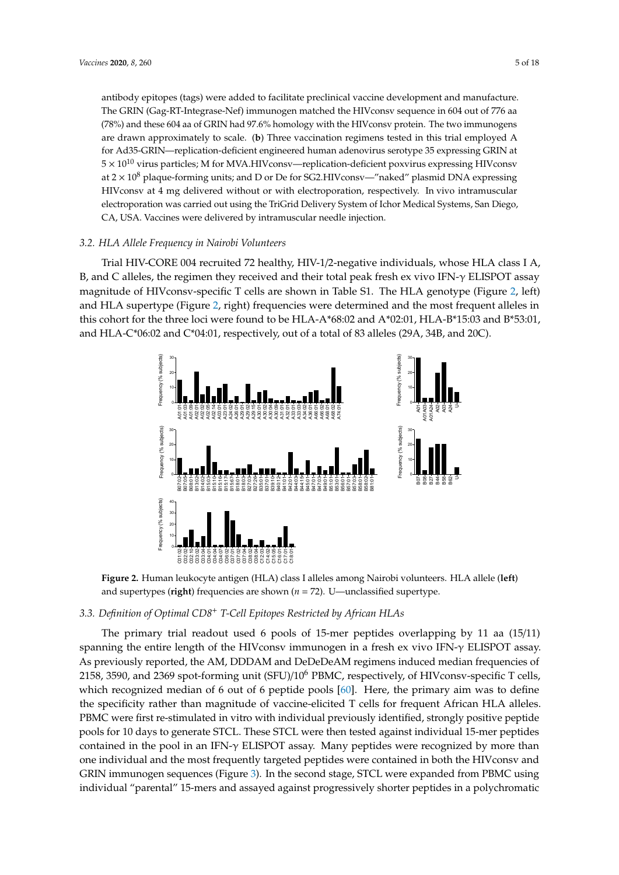antibody epitopes (tags) were added to facilitate preclinical vaccine development and manufacture. The GRIN (Gag-RT-Integrase-Nef) immunogen matched the HIVconsv sequence in 604 out of 776 aa (78%) and these 604 aa of GRIN had 97.6% homology with the HIVconsv protein. The two immunogens are drawn approximately to scale. (**b**) Three vaccination regimens tested in this trial employed A for Ad35-GRIN—replication-deficient engineered human adenovirus serotype 35 expressing GRIN at  $5 \times 10^{10}$  virus particles; M for MVA.HIVconsv—replication-deficient poxvirus expressing HIVconsv at  $2 \times 10^8$  plaque-forming units; and D or De for SG2.HIVconsy—"naked" plasmid DNA expressing HIVconsv at 4 mg delivered without or with electroporation, respectively. In vivo intramuscular electroporation was carried out using the TriGrid Delivery System of Ichor Medical Systems, San Diego, CA, USA. Vaccines were delivered by intramuscular needle injection.

# *3.2. HLA Allele Frequency in Nairobi Volunteers*

Trial HIV-CORE 004 recruited 72 healthy, HIV-1/2-negative individuals, whose HLA class I A, B, and C alleles, the regimen they received and their total peak fresh ex vivo IFN-γ ELISPOT assay magnitude of HIVconsv-specific T cells are shown in Table S1. The HLA genotype (Figure 2, left) and HLA supertype (Figure 2, right) frequencies were determined and the most frequent alleles in this cohort for the three loci were found to be HLA-A\*68:02 and A\*02:01, HLA-B\*15:03 and B\*53:01, and HLA-C\*06:02 and C\*04:01, respectively, out of a total of 83 alleles (29A, 34B, and 20C).



**Figure 2.** Human leukocyte antigen (HLA) class I alleles among Nairobi volunteers. HLA allele (**left**) and supertypes (**right**) frequencies are shown (*n* = 72). U—unclassified supertype.

#### *3.3. Definition of Optimal CD8*<sup>+</sup> *T-Cell Epitopes Restricted by African HLAs*

The primary trial readout used 6 pools of 15-mer peptides overlapping by 11 aa (15/11) spanning the entire length of the HIVconsv immunogen in a fresh ex vivo IFN-γ ELISPOT assay. As previously reported, the AM, DDDAM and DeDeDeAM regimens induced median frequencies of 2158, 3590, and 2369 spot-forming unit (SFU)/10<sup>6</sup> PBMC, respectively, of HIVconsv-specific T cells, which recognized median of 6 out of 6 peptide pools [60]. Here, the primary aim was to define the specificity rather than magnitude of vaccine-elicited T cells for frequent African HLA alleles. PBMC were first re-stimulated in vitro with individual previously identified, strongly positive peptide pools for 10 days to generate STCL. These STCL were then tested against individual 15-mer peptides contained in the pool in an IFN-γ ELISPOT assay. Many peptides were recognized by more than one individual and the most frequently targeted peptides were contained in both the HIVconsv and GRIN immunogen sequences (Figure 3). In the second stage, STCL were expanded from PBMC using individual "parental" 15-mers and assayed against progressively shorter peptides in a polychromatic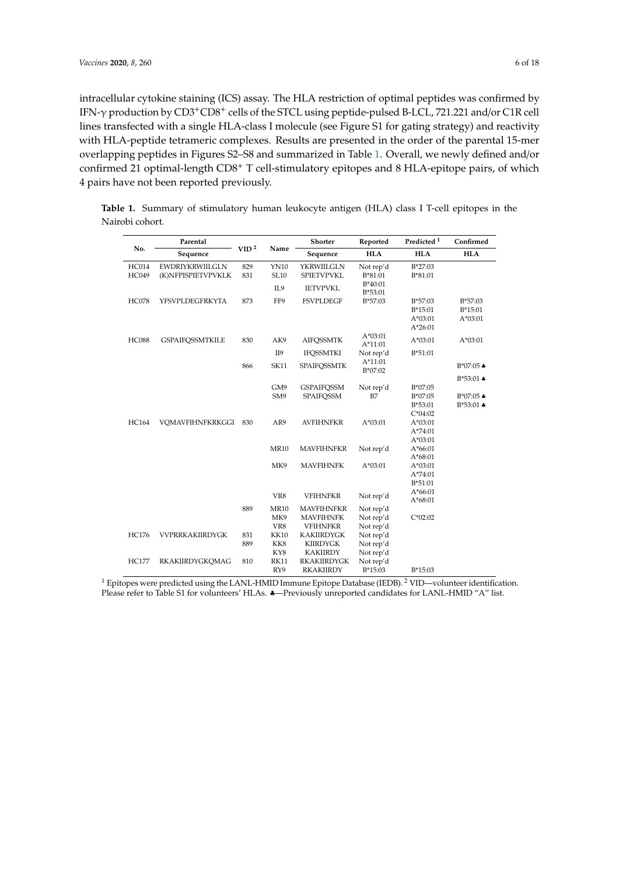intracellular cytokine staining (ICS) assay. The HLA restriction of optimal peptides was confirmed by IFN-γ production by CD3+CD8<sup>+</sup> cells of the STCL using peptide-pulsed B-LCL, 721.221 and/or C1R cell lines transfected with a single HLA-class I molecule (see Figure S1 for gating strategy) and reactivity with HLA-peptide tetrameric complexes. Results are presented in the order of the parental 15-mer overlapping peptides in Figures S2–S8 and summarized in Table 1. Overall, we newly defined and/or confirmed 21 optimal-length CD8<sup>+</sup> T cell-stimulatory epitopes and 8 HLA-epitope pairs, of which 4 pairs have not been reported previously.

|              | Parental               |                    |             | Shorter            | Reported               | Predicted <sup>1</sup> | Confirmed             |
|--------------|------------------------|--------------------|-------------|--------------------|------------------------|------------------------|-----------------------|
| No.          | Sequence               | VID <sup>2</sup>   | Name        | Sequence           | <b>HLA</b>             | <b>HLA</b>             | <b>HLA</b>            |
| <b>HC014</b> | <b>EWDRIYKRWIILGLN</b> | <b>YN10</b><br>829 |             | YKRWIILGLN         | Not rep'd              | $B*27:03$              |                       |
| HC049        | (K)NFPISPIETVPVKLK     | 831                | <b>SL10</b> | <b>SPIETVPVKL</b>  | B*81:01                | B*81:01                |                       |
|              |                        |                    | IL9         | <b>IETVPVKL</b>    | $B*40:01$<br>B*53:01   |                        |                       |
| <b>HC078</b> | YFSVPLDEGFRKYTA        | 873                | FF9         | <b>FSVPLDEGF</b>   | $B*57:03$              | $B*57:03$              | B*57:03               |
|              |                        |                    |             |                    |                        | $B*15:01$              | $B*15:01$             |
|              |                        |                    |             |                    |                        | $A*03:01$              | $A*03:01$             |
|              |                        |                    |             |                    |                        | $A*26:01$              |                       |
| <b>HC088</b> | <b>GSPAIFQSSMTKILE</b> | 830                | AK9         | <b>AIFQSSMTK</b>   | $A*03:01$<br>$A*11:01$ | $A*03:01$              | $A*03:01$             |
|              |                        |                    | II9         | <b>IFQSSMTKI</b>   | Not rep'd              | $B*51:01$              |                       |
|              |                        | 866                | <b>SK11</b> | <b>SPAIFQSSMTK</b> | $A*11:01$<br>$B*07:02$ |                        | $B*07:05$ $\clubsuit$ |
|              |                        |                    |             |                    |                        |                        | $B*53:01$ $\bullet$   |
|              |                        |                    | GM9         | <b>GSPAIFOSSM</b>  | Not rep'd              | B*07:05                |                       |
|              |                        |                    | SM9         | <b>SPAIFQSSM</b>   | B7                     | B*07:05                | $B*07:05$ $\bullet$   |
|              |                        |                    |             |                    |                        | $B*53:01$              | $B*53:01$ $\bullet$   |
|              |                        |                    |             |                    |                        | $C*04:02$              |                       |
| <b>HC164</b> | VQMAVFIHNFKRKGGI       | 830                | AR9         | <b>AVFIHNFKR</b>   | $A*03:01$              | $A*03:01$              |                       |
|              |                        |                    |             |                    |                        | A*74:01                |                       |
|              |                        |                    |             |                    |                        | $A*03:01$              |                       |
|              |                        |                    | <b>MR10</b> | <b>MAVFIHNFKR</b>  | Not rep'd              | $A*66:01$              |                       |
|              |                        |                    |             |                    |                        | $A*68:01$              |                       |
|              |                        |                    | MK9         | <b>MAVFIHNFK</b>   | $A*03:01$              | $A*03:01$              |                       |
|              |                        |                    |             |                    |                        | A*74:01                |                       |
|              |                        |                    |             |                    |                        | $B*51:01$              |                       |
|              |                        |                    | VR8         | <b>VFIHNFKR</b>    | Not rep'd              | $A*66:01$<br>$A*68:01$ |                       |
|              |                        | 889                | <b>MR10</b> | <b>MAVFIHNFKR</b>  | Not rep'd              |                        |                       |
|              |                        |                    | MK9         | <b>MAVFIHNFK</b>   | Not rep'd              | $C*02:02$              |                       |
|              |                        |                    | VR8         | <b>VFIHNFKR</b>    | Not rep'd              |                        |                       |
| <b>HC176</b> | <b>VVPRRKAKIIRDYGK</b> | 831                | <b>KK10</b> | KAKIIRDYGK         | Not rep'd              |                        |                       |
|              |                        | 889                | KK8         | <b>KIIRDYGK</b>    | Not rep'd              |                        |                       |
|              |                        |                    | KY8         | <b>KAKIIRDY</b>    | Not rep'd              |                        |                       |
| <b>HC177</b> | <b>RKAKIIRDYGKOMAG</b> | 810                | <b>RK11</b> | RKAKIIRDYGK        | Not rep'd              |                        |                       |
|              |                        |                    | RY9         | <b>RKAKIIRDY</b>   | $B*15:03$              | $B*15:03$              |                       |

**Table 1.** Summary of stimulatory human leukocyte antigen (HLA) class I T-cell epitopes in the Nairobi cohort.

<sup>1</sup> Epitopes were predicted using the LANL-HMID Immune Epitope Database (IEDB). <sup>2</sup> VID—volunteer identification. Please refer to Table S1 for volunteers' HLAs. ♣—Previously unreported candidates for LANL-HMID "A" list.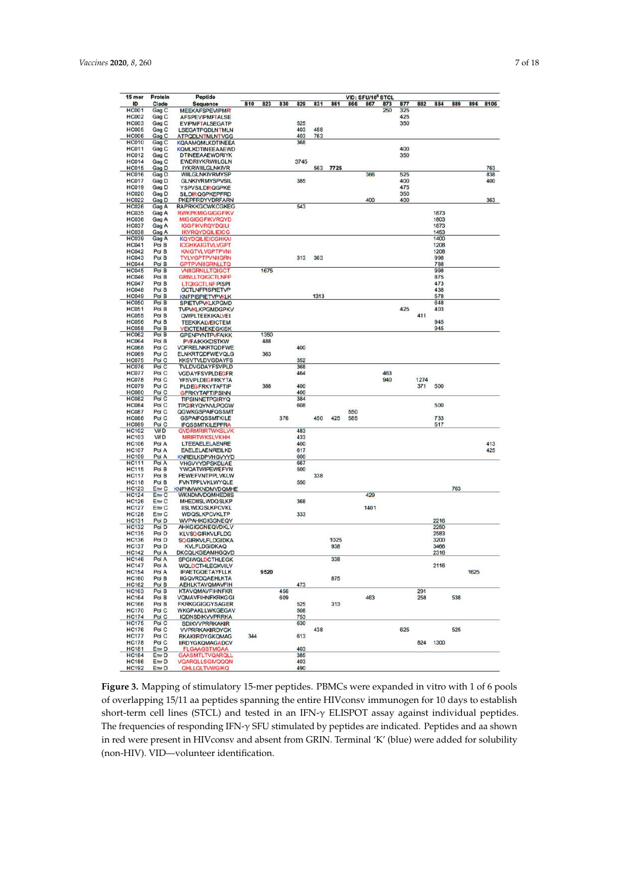$\frac{15}{10}$ 

|                                       | 10 <sup>6</sup> STCL |     |     |     |     |     |               |
|---------------------------------------|----------------------|-----|-----|-----|-----|-----|---------------|
| $\overline{\bf 37}$                   | 873                  | 877 | 882 | 884 | 889 | 896 | 8106          |
|                                       | 250                  | 325 |     |     |     |     |               |
|                                       |                      | 425 |     |     |     |     |               |
|                                       |                      | 350 |     |     |     |     |               |
|                                       |                      |     |     |     |     |     |               |
|                                       |                      | 400 |     |     |     |     |               |
|                                       |                      | 350 |     |     |     |     |               |
|                                       |                      |     |     |     |     |     | 22.000<br>763 |
| $\overline{\overline{\overline{56}}}$ |                      | 525 |     |     |     |     | 838           |
|                                       |                      | 400 |     |     |     |     | 400           |
|                                       |                      | 475 |     |     |     |     |               |
|                                       |                      | 350 |     |     |     |     |               |
| œ                                     |                      | 400 |     |     |     |     | 363           |

| 15 mer                       | <b>Protein</b>   | Peptide                                            | VID: SFU/10 <sup>6</sup> STCL |      |     |            |      |             |     |      |            |     |      |              |     |      |      |
|------------------------------|------------------|----------------------------------------------------|-------------------------------|------|-----|------------|------|-------------|-----|------|------------|-----|------|--------------|-----|------|------|
| ID                           | Clade            | <b>Sequence</b>                                    | 810                           | 823  | 830 | 829        | 831  | 861         | 866 | 867  | 873        | 877 | 882  | 884          | 889 | 896  | 8106 |
| <b>HC001</b>                 | Gag C            | <b>MEEKAFSPEVIPMF</b>                              |                               |      |     |            |      |             |     |      | 250        | 325 |      |              |     |      |      |
| <b>HC002</b>                 | Gag C            | <b>AFSPEVIPMFTALSE</b>                             |                               |      |     |            |      |             |     |      |            | 425 |      |              |     |      |      |
| <b>HC003</b>                 | Gag C            | <b>EVIPMFTALSEGATP</b>                             |                               |      |     | 525        |      |             |     |      |            | 350 |      |              |     |      |      |
| <b>HC005</b>                 | Gag C            | LSEGATPQDLNTMLN                                    |                               |      |     | 403        | 488  |             |     |      |            |     |      |              |     |      |      |
| <b>HC006</b><br><b>HC010</b> | Gag C<br>Gag C   | <b>ATPQDLNTMLNTVGG</b>                             |                               |      |     | 403<br>368 | 763  |             |     |      |            |     |      |              |     |      |      |
| <b>HC011</b>                 | Gag C            | <b>KQAAMQMLKDTINEEA</b><br><b>KOMLKDTINEEAAEWD</b> |                               |      |     |            |      |             |     |      |            | 400 |      |              |     |      |      |
| <b>HC012</b>                 | Gag C            | <b>DTINEEAAEWDRIYK</b>                             |                               |      |     |            |      |             |     |      |            | 350 |      |              |     |      |      |
| <b>HC014</b>                 | Gag C            | EWDRIYKRWIILGLN                                    |                               |      |     | 3745       |      |             |     |      |            |     |      |              |     |      |      |
| <b>HC015</b>                 | Gag D            | <b>IYKRWIILGLNKIVR</b>                             |                               |      |     |            | 563  | 7725        |     |      |            |     |      |              |     |      | 763  |
| <b>HC016</b>                 | Gag D            | WIILGLNKIVRMYSP                                    |                               |      |     |            |      |             |     | 366  |            | 525 |      |              |     |      | 838  |
| <b>HC017</b>                 | Gag D            | <b>GLNKIVRMYSPVSIL</b>                             |                               |      |     | 385        |      |             |     |      |            | 400 |      |              |     |      | 400  |
| <b>HC019</b>                 | Gag D            | <b>YSPVSILDRQGPKE</b>                              |                               |      |     |            |      |             |     |      |            | 475 |      |              |     |      |      |
| <b>HC020</b>                 | Gag D            | <b>SILDIRQGPKEPFRD</b>                             |                               |      |     |            |      |             |     |      |            | 350 |      |              |     |      |      |
| <b>HC022</b>                 | Gag D            | PKEPFRDYVDRFARN                                    |                               |      |     |            |      |             |     | 400  |            | 400 |      |              |     |      | 363  |
| <b>HC026</b>                 | Gag A            | <b>RAPRKKGCWKCGKEG</b>                             |                               |      |     | 543        |      |             |     |      |            |     |      |              |     |      |      |
| <b>HC035</b><br><b>HC036</b> | Gag A            | <b>RWKPKMIGGIGGFIKV</b><br><b>MIGGIGGFIKVRQYD</b>  |                               |      |     |            |      |             |     |      |            |     |      | 1873<br>1803 |     |      |      |
| <b>HC037</b>                 | Gag A<br>Gag A   | <b>IGGFIKVROYDQILI</b>                             |                               |      |     |            |      |             |     |      |            |     |      | 1873         |     |      |      |
| <b>HC038</b>                 | Gag A            | <b>IKVRQYDQILIEICG</b>                             |                               |      |     |            |      |             |     |      |            |     |      | 1453         |     |      |      |
| <b>HC039</b>                 | Gag A            | <b>KOYDOILIEICGHKAI</b>                            |                               |      |     |            |      |             |     |      |            |     |      | 1400         |     |      |      |
| <b>HC041</b>                 | Pol B            | <b>ICGHKAIGTVLVGPT</b>                             |                               |      |     |            |      |             |     |      |            |     |      | 1208         |     |      |      |
| <b>HC042</b>                 | Pol B            | <b>KAIGTVLVGPTPVNI</b>                             |                               |      |     |            |      |             |     |      |            |     |      | 1208         |     |      |      |
| <b>HC043</b>                 | Pol B            | <b>TVLVGPTPVNIIGRN</b>                             |                               |      |     | 313        | 363  |             |     |      |            |     |      | 998          |     |      |      |
| <b>HC044</b>                 | Pol B            | <b>GPTPVNIIGRNLLTQ</b>                             |                               |      |     |            |      |             |     |      |            |     |      | 788          |     |      |      |
| <b>HC045</b>                 | Pol B            | <b>VNIIGRNLLTQIGCT</b>                             |                               | 1675 |     |            |      |             |     |      |            |     |      | 998          |     |      |      |
| <b>HC046</b>                 | Pol B            | <b>GRNLLTQIGCTLNFP</b>                             |                               |      |     |            |      |             |     |      |            |     |      | 875          |     |      |      |
| <b>HC047</b>                 | Pol B            | <b>LTOIGCTLNF PISPI</b>                            |                               |      |     |            |      |             |     |      |            |     |      | 473          |     |      |      |
| <b>HC048</b><br><b>HC049</b> | Pol B<br>Pol B   | <b>GCTLNFPISPIETVP</b>                             |                               |      |     |            | 1313 |             |     |      |            |     |      | 438<br>578   |     |      |      |
| <b>HC050</b>                 | Pol B            | <b>KNFPISPIETVPVKLK</b><br><b>SPIETVPVKLKPGMD</b>  |                               |      |     |            |      |             |     |      |            |     |      | 648          |     |      |      |
| <b>HC051</b>                 | Pol B            | <b>TVPVKLKPGMDGPKV</b>                             |                               |      |     |            |      |             |     |      |            | 425 |      | 403          |     |      |      |
| <b>HC055</b>                 | Pol B            | <b>QWPLTEEKIKALVEI</b>                             |                               |      |     |            |      |             |     |      |            |     | 411  |              |     |      |      |
| <b>HC056</b>                 | Pol B            | <b><i>TEEKIKALVEICTEM</i></b>                      |                               |      |     |            |      |             |     |      |            |     |      | 945          |     |      |      |
| <b>HC058</b>                 | Pol B            | <b>VEICTEMEKEGKISK</b>                             |                               |      |     |            |      |             |     |      |            |     |      | 945          |     |      |      |
| <b>HC062</b>                 | Pol B            | <b>GPENPYNTPVFAIKK</b>                             |                               | 1350 |     |            |      |             |     |      |            |     |      |              |     |      |      |
| <b>HC064</b>                 | Pol B            | <b>PVFAIKKKDSTKW</b>                               |                               | 488  |     |            |      |             |     |      |            |     |      |              |     |      |      |
| <b>HC068</b>                 | Pol C            | <b>VDFRELNKRTQDFWE</b>                             |                               |      |     | 400        |      |             |     |      |            |     |      |              |     |      |      |
| <b>HC069</b>                 | Pol C            | <b>ELNKRTQDFWEVQLG</b>                             |                               | 363  |     |            |      |             |     |      |            |     |      |              |     |      |      |
| <b>HC075</b>                 | Pol C            | <b>KKSVTVLDVGDAYFS</b>                             |                               |      |     | 352        |      |             |     |      |            |     |      |              |     |      |      |
| <b>HC076</b>                 | Pol C            | <b>TVLDVGDAYFSVPLD</b>                             |                               |      |     | 368<br>464 |      |             |     |      |            |     |      |              |     |      |      |
| <b>HC077</b><br><b>HC078</b> | Pol C<br>Pol C   | <b>VGDAYFSVPLDEGFR</b>                             |                               |      |     |            |      |             |     |      | 463<br>940 |     | 1274 |              |     |      |      |
| <b>HC079</b>                 | Pol C            | <b>YFSVPLDEGFRKYTA</b><br>PLDEGFRKYTAFTIP          |                               | 388  |     | 400        |      |             |     |      |            |     | 371  | 500          |     |      |      |
| <b>HC080</b>                 | Pol C            | <b>GFRKYTAFTIPSINN</b>                             |                               |      |     | 400        |      |             |     |      |            |     |      |              |     |      |      |
| <b>HC082</b>                 | Pol C            | <b>TIPSINNETPGIRYQ</b>                             |                               |      |     | 384        |      |             |     |      |            |     |      |              |     |      |      |
| <b>HC084</b>                 | Pol C            | <b>TPGIRYQYNVLPQGW</b>                             |                               |      |     | 608        |      |             |     |      |            |     |      | 500          |     |      |      |
| <b>HC087</b>                 | Pol C            | QGWKGSPAIFQSSMT                                    |                               |      |     |            |      |             | 550 |      |            |     |      |              |     |      |      |
| <b>HC088</b>                 | Pol C            | <b>GSPAIFQSSMTKILE</b>                             |                               |      | 376 |            | 450  | 425         | 585 |      |            |     |      | 733          |     |      |      |
| <b>HC089</b>                 | Pol C            | <b>IFOSSMTKILEPFRA</b>                             |                               |      |     |            |      |             |     |      |            |     |      | 517          |     |      |      |
| <b>HC102</b>                 | Vif D            | <b>QVDRMRIRTWKSLVK</b>                             |                               |      |     | 483        |      |             |     |      |            |     |      |              |     |      |      |
| <b>HC103</b>                 | Vif D            | MRIRTWKSLVKHH                                      |                               |      |     | 433        |      |             |     |      |            |     |      |              |     |      |      |
| <b>HC106</b>                 | Pol A            | <b>LTEEAELELAENRE</b>                              |                               |      |     | 400        |      |             |     |      |            |     |      |              |     |      | 413  |
| <b>HC107</b>                 | Pol A            | EAELELAENREILKD                                    |                               |      |     | 617<br>600 |      |             |     |      |            |     |      |              |     |      | 425  |
| <b>HC109</b><br><b>HC111</b> | Pol A<br>Pol A   | KNREILKDPVHGVYYD<br>VHGVYYDPSKDUAE                 |                               |      |     | 667        |      |             |     |      |            |     |      |              |     |      |      |
| <b>HC115</b>                 | Pol B            | YWQATWIPEWEFVN                                     |                               |      |     | 500        |      |             |     |      |            |     |      |              |     |      |      |
| <b>HC117</b>                 | Pol B            | PEWEFVNTPPLVKLW                                    |                               |      |     |            | 338  |             |     |      |            |     |      |              |     |      |      |
| <b>HC118</b>                 | Pol B            | <b>FVNTPPLVKLWYQLE</b>                             |                               |      |     | 550        |      |             |     |      |            |     |      |              |     |      |      |
| <b>HC123</b>                 | Env <sub>C</sub> | <b>KNFNMWKNDMVDQMHE</b>                            |                               |      |     |            |      |             |     |      |            |     |      |              | 763 |      |      |
| <b>HC124</b>                 | Env <sub>C</sub> | WKNDMVDQMHEDIIS                                    |                               |      |     |            |      |             |     | 429  |            |     |      |              |     |      |      |
| <b>HC126</b>                 | Env <sub>C</sub> | <b>MHEDIISLWDQSLKP</b>                             |                               |      |     | 368        |      |             |     |      |            |     |      |              |     |      |      |
| <b>HC127</b>                 | Env <sub>C</sub> | <b>IISLWDQSLKPCVKL</b>                             |                               |      |     |            |      |             |     | 1401 |            |     |      |              |     |      |      |
| <b>HC128</b>                 | Env <sub>C</sub> | <b>WDQSLKPCVKLTP</b>                               |                               |      |     | 333        |      |             |     |      |            |     |      |              |     |      |      |
| <b>HC131</b>                 | Pol D            | <b>WVPAHKGIGGNEQV</b>                              |                               |      |     |            |      |             |     |      |            |     |      | 2216         |     |      |      |
| <b>HC132</b>                 | Pol D            | AHKGIGGNEQVDKLV                                    |                               |      |     |            |      |             |     |      |            |     |      | 2250         |     |      |      |
| <b>HC135</b>                 | Pol D            | <b>KLVSOGIRKVLFLDG</b>                             |                               |      |     |            |      |             |     |      |            |     |      | 2583         |     |      |      |
| <b>HC136</b><br><b>HC137</b> | Pol D<br>Pol D   | <b>SOGIRKVLFLDGIDKA</b><br><b>KVLFLDGIDKAQ</b>     |                               |      |     |            |      | 1025<br>938 |     |      |            |     |      | 3200<br>3466 |     |      |      |
| <b>HC142</b>                 | Pol A            | <b>DKCQLKGEAMHGQVD</b>                             |                               |      |     |            |      |             |     |      |            |     |      | 2316         |     |      |      |
| <b>HC146</b>                 | Pol A            | <b>SPGIWOLDCTHLEGK</b>                             |                               |      |     |            |      | 338         |     |      |            |     |      |              |     |      |      |
| <b>HC147</b>                 | Pol A            | <b>WOLDCTHLEGKVILV</b>                             |                               |      |     |            |      |             |     |      |            |     |      | 2116         |     |      |      |
| <b>HC154</b>                 | Pol A            | <b>IPAETGQETAYFLLK</b>                             |                               | 9520 |     |            |      |             |     |      |            |     |      |              |     | 1625 |      |
| <b>HC160</b>                 | Pol B            | <b>IIGQVRDQAEHLKTA</b>                             |                               |      |     |            |      | 875         |     |      |            |     |      |              |     |      |      |
| <b>HC162</b>                 | Pol B            | <b>AEHLKTAVQMAVFIH</b>                             |                               |      |     | 473        |      |             |     |      |            |     |      |              |     |      |      |
| <b>HC163</b>                 | Pol B            | <b>KTAVOMAVFIHNFKR</b>                             |                               |      | 456 |            |      |             |     |      |            |     | 291  |              |     |      |      |
| <b>HC164</b>                 | Pol B            | <b>VOMAVFIHNFKRKGGI</b>                            |                               |      | 609 |            |      |             |     | 463  |            |     | 258  |              | 538 |      |      |
| <b>HC166</b>                 | Pol B            | <b>FKRKGGIGGYSAGER</b>                             |                               |      |     | 525        |      | 313         |     |      |            |     |      |              |     |      |      |
| <b>HC170</b>                 | Pol C            | <b>WKGPAKLLWKGEGAV</b>                             |                               |      |     | 508        |      |             |     |      |            |     |      |              |     |      |      |
| <b>HC174</b>                 | Pol C<br>Pol C   | <b>IQDNSDIKVVPRRKA</b>                             |                               |      |     | 753<br>630 |      |             |     |      |            |     |      |              |     |      |      |
| <b>HC175</b><br><b>HC176</b> | Pol C            | <b>SDIKVVPRRKAKIR</b><br><b>VVPRRKAKIRDYGK</b>     |                               |      |     |            | 438  |             |     |      |            | 625 |      |              | 525 |      |      |
| <b>HC177</b>                 | Pol C            | <b>RKAKIIRDYGKQMAG</b>                             | 344                           |      |     | 613        |      |             |     |      |            |     |      |              |     |      |      |
| <b>HC178</b>                 | Pol C            | <b>IIRDYGKQMAGADCV</b>                             |                               |      |     |            |      |             |     |      |            |     | 824  | 1300         |     |      |      |
| <b>HC181</b>                 | Env <sub>D</sub> | <b>FLGAAGSTMGAA</b>                                |                               |      |     | 403        |      |             |     |      |            |     |      |              |     |      |      |
| <b>HC184</b>                 | Env <sub>D</sub> | <b>GAASMTLTVQARQLL</b>                             |                               |      |     | 385        |      |             |     |      |            |     |      |              |     |      |      |
| <b>HC186</b>                 | Env <sub>D</sub> | VQARQLLSGIVQQQN                                    |                               |      |     | 403        |      |             |     |      |            |     |      |              |     |      |      |
| <b>HC192</b>                 | Env <sub>D</sub> | QHLLQLTVWGIKQ                                      |                               |      |     | 490        |      |             |     |      |            |     |      |              |     |      |      |
|                              |                  |                                                    |                               |      |     |            |      |             |     |      |            |     |      |              |     |      |      |

**Figure 3.** Mapping of stimulatory 15-mer peptides. PBMCs were expanded in vitro with 1 of 6 pools of overlapping 15/11 aa peptides spanning the entire HIVconsv immunogen for 10 days to establish short-term cell lines (STCL) and tested in an IFN-γ ELISPOT assay against individual peptides. The frequencies of responding IFN-γ SFU stimulated by peptides are indicated. Peptides and aa shown in red were present in HIVconsv and absent from GRIN. Terminal 'K' (blue) were added for solubility (non-HIV). VID—volunteer identification.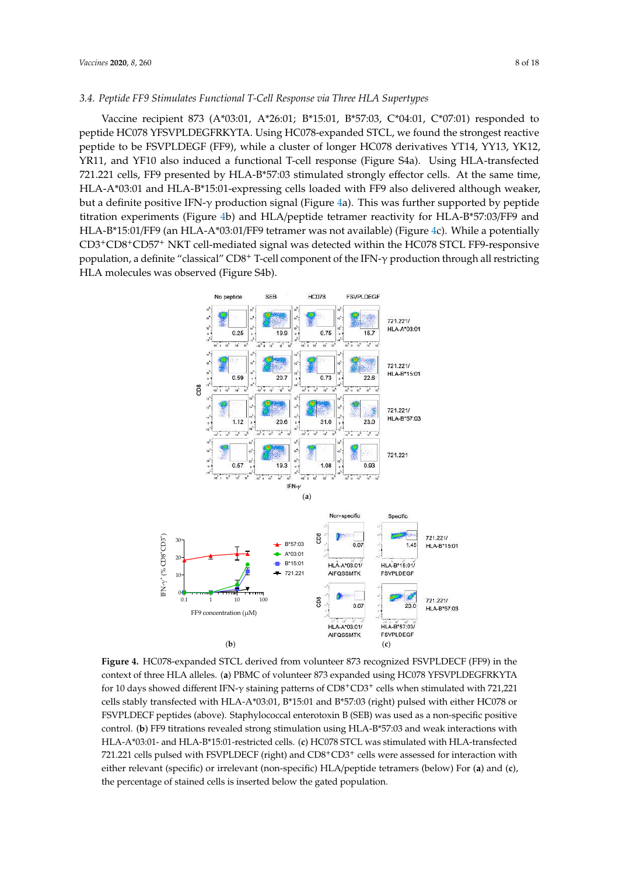# *3.4. Peptide FF9 Stimulates Functional T-Cell Response via Three HLA Supertypes*

Vaccine recipient 873 (A\*03:01, A\*26:01; B\*15:01, B\*57:03, C\*04:01, C\*07:01) responded to peptide HC078 YFSVPLDEGFRKYTA. Using HC078-expanded STCL, we found the strongest reactive peptide to be FSVPLDEGF (FF9), while a cluster of longer HC078 derivatives YT14, YY13, YK12, YR11, and YF10 also induced a functional T-cell response (Figure S4a). Using HLA-transfected 721.221 cells, FF9 presented by HLA-B\*57:03 stimulated strongly effector cells. At the same time, HLA-A\*03:01 and HLA-B\*15:01-expressing cells loaded with FF9 also delivered although weaker, but a definite positive IFN- $\gamma$  production signal (Figure 4a). This was further supported by peptide titration experiments (Figure 4b) and HLA/peptide tetramer reactivity for HLA-B\*57:03/FF9 and HLA-B\*15:01/FF9 (an HLA-A\*03:01/FF9 tetramer was not available) (Figure 4c). While a potentially CD3+CD8+CD57<sup>+</sup> NKT cell-mediated signal was detected within the HC078 STCL FF9-responsive population, a definite "classical" CD8<sup>+</sup> T-cell component of the IFN-γ production through all restricting HLA molecules was observed (Figure S4b).



**Figure 4.** HC078-expanded STCL derived from volunteer 873 recognized FSVPLDECF (FF9) in the context of three HLA alleles. (**a**) PBMC of volunteer 873 expanded using HC078 YFSVPLDEGFRKYTA for 10 days showed different IFN- $\gamma$  staining patterns of CD8<sup>+</sup>CD3<sup>+</sup> cells when stimulated with 721,221 cells stably transfected with HLA-A\*03:01, B\*15:01 and B\*57:03 (right) pulsed with either HC078 or FSVPLDECF peptides (above). Staphylococcal enterotoxin B (SEB) was used as a non-specific positive control. (**b**) FF9 titrations revealed strong stimulation using HLA-B\*57:03 and weak interactions with HLA-A\*03:01- and HLA-B\*15:01-restricted cells. (**c**) HC078 STCL was stimulated with HLA-transfected 721.221 cells pulsed with FSVPLDECF (right) and CD8<sup>+</sup>CD3<sup>+</sup> cells were assessed for interaction with either relevant (specific) or irrelevant (non-specific) HLA/peptide tetramers (below) For (**a**) and (**c**), the percentage of stained cells is inserted below the gated population.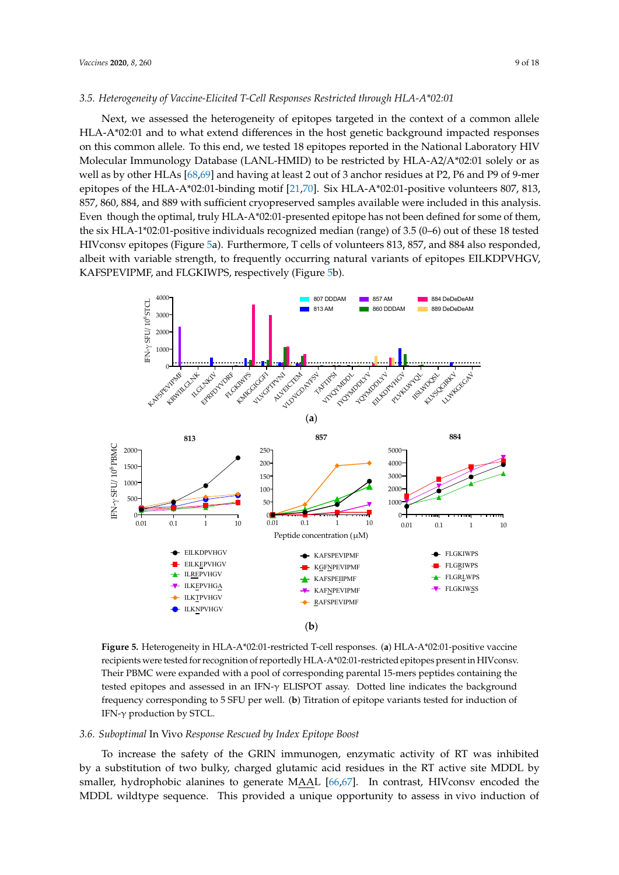## *3.5. Heterogeneity of Vaccine-Elicited T-Cell Responses Restricted through HLA-A\*02:01*

Next, we assessed the heterogeneity of epitopes targeted in the context of a common allele HLA-A\*02:01 and to what extend differences in the host genetic background impacted responses on this common allele. To this end, we tested 18 epitopes reported in the National Laboratory HIV Molecular Immunology Database (LANL-HMID) to be restricted by HLA-A2/A\*02:01 solely or as well as by other HLAs [68,69] and having at least 2 out of 3 anchor residues at P2, P6 and P9 of 9-mer epitopes of the HLA-A\*02:01-binding motif [21,70]. Six HLA-A\*02:01-positive volunteers 807, 813, 857, 860, 884, and 889 with sufficient cryopreserved samples available were included in this analysis. Even though the optimal, truly HLA-A\*02:01-presented epitope has not been defined for some of them, the six HLA-1\*02:01-positive individuals recognized median (range) of 3.5 (0–6) out of these 18 tested HIVconsv epitopes (Figure 5a). Furthermore, T cells of volunteers 813, 857, and 884 also responded, albeit with variable strength, to frequently occurring natural variants of epitopes EILKDPVHGV, KAFSPEVIPMF, and FLGKIWPS, respectively (Figure 5b).



**Figure 5.** Heterogeneity in HLA-A\*02:01-restricted T-cell responses. (**a**) HLA-A\*02:01-positive vaccine recipients were tested for recognition of reportedly HLA-A\*02:01-restricted epitopes present in HIVconsv. Their PBMC were expanded with a pool of corresponding parental 15-mers peptides containing the tested epitopes and assessed in an IFN-γ ELISPOT assay. Dotted line indicates the background frequency corresponding to 5 SFU per well. (**b**) Titration of epitope variants tested for induction of IFN-γ production by STCL.

# *3.6. Suboptimal* In Vivo *Response Rescued by Index Epitope Boost*

To increase the safety of the GRIN immunogen, enzymatic activity of RT was inhibited by a substitution of two bulky, charged glutamic acid residues in the RT active site MDDL by smaller, hydrophobic alanines to generate MAAL [66,67]. In contrast, HIVconsv encoded the MDDL wildtype sequence. This provided a unique opportunity to assess in vivo induction of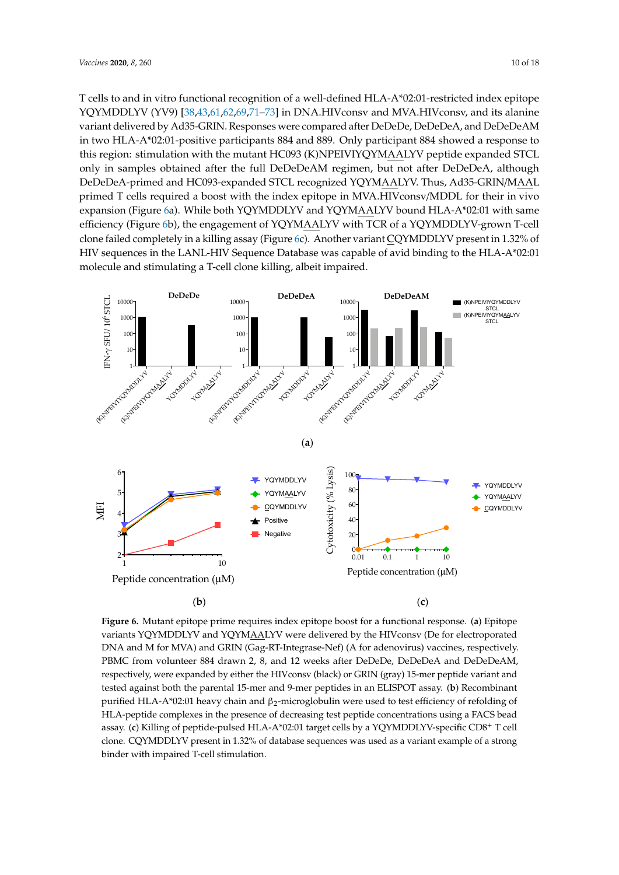T cells to and in vitro functional recognition of a well-defined HLA-A\*02:01-restricted index epitope YQYMDDLYV (YV9) [38,43,61,62,69,71–73] in DNA.HIVconsv and MVA.HIVconsv, and its alanine variant delivered by Ad35-GRIN. Responses were compared after DeDeDe, DeDeDeA, and DeDeDeAM in two HLA-A\*02:01-positive participants 884 and 889. Only participant 884 showed a response to this region: stimulation with the mutant HC093 (K)NPEIVIYQYMAALYV peptide expanded STCL only in samples obtained after the full DeDeDeAM regimen, but not after DeDeDeA, although DeDeDeA-primed and HC093-expanded STCL recognized YQYMAALYV. Thus, Ad35-GRIN/MAAL primed T cells required a boost with the index epitope in MVA.HIVconsv/MDDL for their in vivo expansion (Figure 6a). While both YQYMDDLYV and YQYMAALYV bound HLA-A\*02:01 with same efficiency (Figure 6b), the engagement of YQYMAALYV with TCR of a YQYMDDLYV-grown T-cell clone failed completely in a killing assay (Figure 6c). Another variant CQYMDDLYV present in 1.32% of HIV sequences in the LANL-HIV Sequence Database was capable of avid binding to the HLA-A\*02:01 molecule and stimulating a T-cell clone killing, albeit impaired.



**Figure 6.** Mutant epitope prime requires index epitope boost for a functional response. (**a**) Epitope variants YQYMDDLYV and YQYMAALYV were delivered by the HIVconsv (De for electroporated DNA and M for MVA) and GRIN (Gag-RT-Integrase-Nef) (A for adenovirus) vaccines, respectively. PBMC from volunteer 884 drawn 2, 8, and 12 weeks after DeDeDe, DeDeDeA and DeDeDeAM, respectively, were expanded by either the HIVconsv (black) or GRIN (gray) 15-mer peptide variant and tested against both the parental 15-mer and 9-mer peptides in an ELISPOT assay. (**b**) Recombinant purified HLA-A\*02:01 heavy chain and β<sub>2</sub>-microglobulin were used to test efficiency of refolding of HLA-peptide complexes in the presence of decreasing test peptide concentrations using a FACS bead assay. (**c**) Killing of peptide-pulsed HLA-A\*02:01 target cells by a YQYMDDLYV-specific CD8<sup>+</sup> T cell clone. CQYMDDLYV present in 1.32% of database sequences was used as a variant example of a strong binder with impaired T-cell stimulation.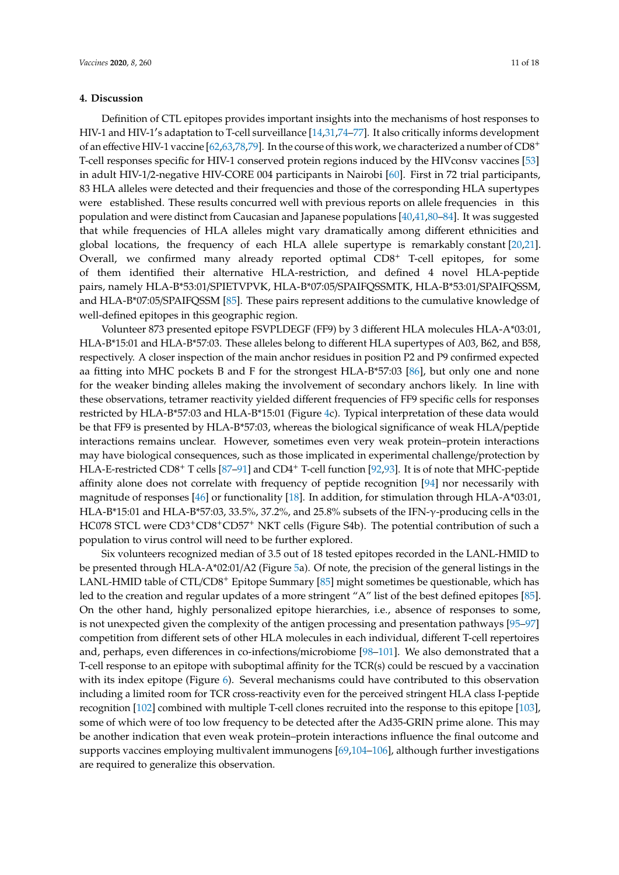## **4. Discussion**

Definition of CTL epitopes provides important insights into the mechanisms of host responses to HIV-1 and HIV-1′ s adaptation to T-cell surveillance [14,31,74–77]. It also critically informs development of an effective HIV-1 vaccine [62,63,78,79]. In the course of this work, we characterized a number of CD8<sup>+</sup> T-cell responses specific for HIV-1 conserved protein regions induced by the HIVconsv vaccines [53] in adult HIV-1/2-negative HIV-CORE 004 participants in Nairobi [60]. First in 72 trial participants, 83 HLA alleles were detected and their frequencies and those of the corresponding HLA supertypes were established. These results concurred well with previous reports on allele frequencies in this population and were distinct from Caucasian and Japanese populations [40,41,80–84]. It was suggested that while frequencies of HLA alleles might vary dramatically among different ethnicities and global locations, the frequency of each HLA allele supertype is remarkably constant [20,21]. Overall, we confirmed many already reported optimal CD8<sup>+</sup> T-cell epitopes, for some of them identified their alternative HLA-restriction, and defined 4 novel HLA-peptide pairs, namely HLA-B\*53:01/SPIETVPVK, HLA-B\*07:05/SPAIFQSSMTK, HLA-B\*53:01/SPAIFQSSM, and HLA-B\*07:05/SPAIFQSSM [85]. These pairs represent additions to the cumulative knowledge of well-defined epitopes in this geographic region.

Volunteer 873 presented epitope FSVPLDEGF (FF9) by 3 different HLA molecules HLA-A\*03:01, HLA-B\*15:01 and HLA-B\*57:03. These alleles belong to different HLA supertypes of A03, B62, and B58, respectively. A closer inspection of the main anchor residues in position P2 and P9 confirmed expected aa fitting into MHC pockets B and F for the strongest HLA-B\*57:03 [86], but only one and none for the weaker binding alleles making the involvement of secondary anchors likely. In line with these observations, tetramer reactivity yielded different frequencies of FF9 specific cells for responses restricted by HLA-B\*57:03 and HLA-B\*15:01 (Figure 4c). Typical interpretation of these data would be that FF9 is presented by HLA-B\*57:03, whereas the biological significance of weak HLA/peptide interactions remains unclear. However, sometimes even very weak protein–protein interactions may have biological consequences, such as those implicated in experimental challenge/protection by HLA-E-restricted CD8<sup>+</sup> T cells [87–91] and CD4<sup>+</sup> T-cell function [92,93]. It is of note that MHC-peptide affinity alone does not correlate with frequency of peptide recognition [94] nor necessarily with magnitude of responses [46] or functionality [18]. In addition, for stimulation through HLA-A\*03:01, HLA-B\*15:01 and HLA-B\*57:03, 33.5%, 37.2%, and 25.8% subsets of the IFN-γ-producing cells in the HC078 STCL were CD3+CD8+CD57<sup>+</sup> NKT cells (Figure S4b). The potential contribution of such a population to virus control will need to be further explored.

Six volunteers recognized median of 3.5 out of 18 tested epitopes recorded in the LANL-HMID to be presented through HLA-A\*02:01/A2 (Figure 5a). Of note, the precision of the general listings in the LANL-HMID table of CTL/CD8<sup>+</sup> Epitope Summary [85] might sometimes be questionable, which has led to the creation and regular updates of a more stringent "A" list of the best defined epitopes [85]. On the other hand, highly personalized epitope hierarchies, i.e., absence of responses to some, is not unexpected given the complexity of the antigen processing and presentation pathways [95–97] competition from different sets of other HLA molecules in each individual, different T-cell repertoires and, perhaps, even differences in co-infections/microbiome [98–101]. We also demonstrated that a T-cell response to an epitope with suboptimal affinity for the TCR(s) could be rescued by a vaccination with its index epitope (Figure 6). Several mechanisms could have contributed to this observation including a limited room for TCR cross-reactivity even for the perceived stringent HLA class I-peptide recognition [102] combined with multiple T-cell clones recruited into the response to this epitope [103], some of which were of too low frequency to be detected after the Ad35-GRIN prime alone. This may be another indication that even weak protein–protein interactions influence the final outcome and supports vaccines employing multivalent immunogens [69,104–106], although further investigations are required to generalize this observation.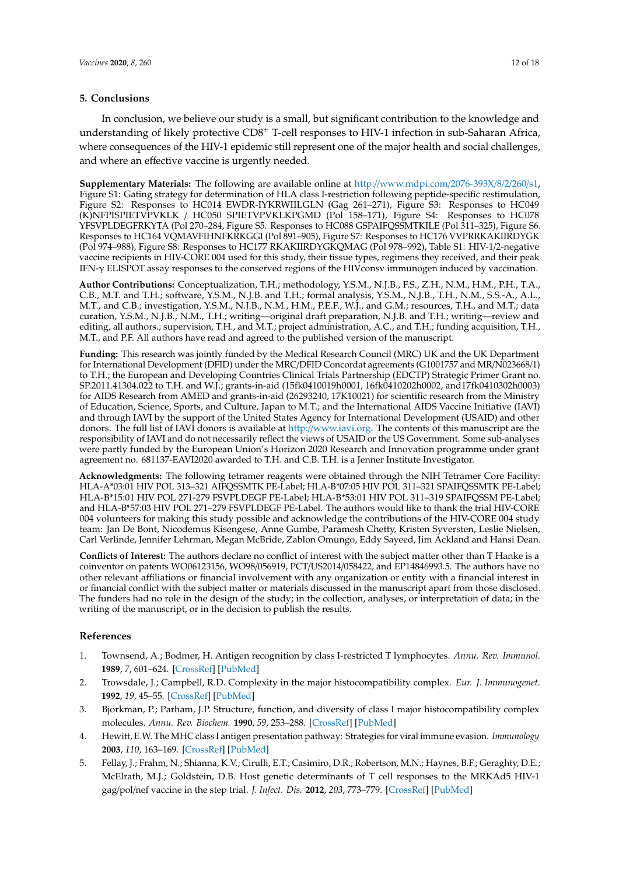## **5. Conclusions**

In conclusion, we believe our study is a small, but significant contribution to the knowledge and understanding of likely protective CD8<sup>+</sup> T-cell responses to HIV-1 infection in sub-Saharan Africa, where consequences of the HIV-1 epidemic still represent one of the major health and social challenges, and where an effective vaccine is urgently needed.

**Supplementary Materials:** The following are available online at http://www.mdpi.com/2076-393X/8/2/260/s1, Figure S1: Gating strategy for determination of HLA class I-restriction following peptide-specific restimulation, Figure S2: Responses to HC014 EWDR-IYKRWIILGLN (Gag 261–271), Figure S3: Responses to HC049 (K)NFPISPIETVPVKLK / HC050 SPIETVPVKLKPGMD (Pol 158–171), Figure S4: Responses to HC078 YFSVPLDEGFRKYTA (Pol 270–284, Figure S5. Responses to HC088 GSPAIFQSSMTKILE (Pol 311–325), Figure S6. Responses to HC164 VQMAVFIHNFKRKGGI (Pol 891–905), Figure S7: Responses to HC176 VVPRRKAKIIRDYGK (Pol 974–988), Figure S8: Responses to HC177 RKAKIIRDYGKQMAG (Pol 978–992), Table S1: HIV-1/2-negative vaccine recipients in HIV-CORE 004 used for this study, their tissue types, regimens they received, and their peak IFN-γ ELISPOT assay responses to the conserved regions of the HIVconsv immunogen induced by vaccination.

**Author Contributions:** Conceptualization, T.H.; methodology, Y.S.M., N.J.B., F.S., Z.H., N.M., H.M., P.H., T.A., C.B., M.T. and T.H.; software, Y.S.M., N.J.B. and T.H.; formal analysis, Y.S.M., N.J.B., T.H., N.M., S.S.-A., A.L., M.T., and C.B.; investigation, Y.S.M., N.J.B., N.M., H.M., P.E.F., W.J., and G.M.; resources, T.H., and M.T.; data curation, Y.S.M., N.J.B., N.M., T.H.; writing—original draft preparation, N.J.B. and T.H.; writing—review and editing, all authors.; supervision, T.H., and M.T.; project administration, A.C., and T.H.; funding acquisition, T.H., M.T., and P.F. All authors have read and agreed to the published version of the manuscript.

**Funding:** This research was jointly funded by the Medical Research Council (MRC) UK and the UK Department for International Development (DFID) under the MRC/DFID Concordat agreements (G1001757 and MR/N023668/1) to T.H.; the European and Developing Countries Clinical Trials Partnership (EDCTP) Strategic Primer Grant no. SP.2011.41304.022 to T.H. and W.J.; grants-in-aid (15fk0410019h0001, 16fk0410202h0002, and17fk0410302h0003) for AIDS Research from AMED and grants-in-aid (26293240, 17K10021) for scientific research from the Ministry of Education, Science, Sports, and Culture, Japan to M.T.; and the International AIDS Vaccine Initiative (IAVI) and through IAVI by the support of the United States Agency for International Development (USAID) and other donors. The full list of IAVI donors is available at http://www.iavi.org. The contents of this manuscript are the responsibility of IAVI and do not necessarily reflect the views of USAID or the US Government. Some sub-analyses were partly funded by the European Union's Horizon 2020 Research and Innovation programme under grant agreement no. 681137-EAVI2020 awarded to T.H. and C.B. T.H. is a Jenner Institute Investigator.

**Acknowledgments:** The following tetramer reagents were obtained through the NIH Tetramer Core Facility: HLA-A\*03:01 HIV POL 313–321 AIFQSSMTK PE-Label; HLA-B\*07:05 HIV POL 311–321 SPAIFQSSMTK PE-Label; HLA-B\*15:01 HIV POL 271-279 FSVPLDEGF PE-Label; HLA-B\*53:01 HIV POL 311–319 SPAIFQSSM PE-Label; and HLA-B\*57:03 HIV POL 271–279 FSVPLDEGF PE-Label. The authors would like to thank the trial HIV-CORE 004 volunteers for making this study possible and acknowledge the contributions of the HIV-CORE 004 study team: Jan De Bont, Nicodemus Kisengese, Anne Gumbe, Paramesh Chetty, Kristen Syversten, Leslie Nielsen, Carl Verlinde, Jennifer Lehrman, Megan McBride, Zablon Omungo, Eddy Sayeed, Jim Ackland and Hansi Dean.

**Conflicts of Interest:** The authors declare no conflict of interest with the subject matter other than T Hanke is a coinventor on patents WO06123156, WO98/056919, PCT/US2014/058422, and EP14846993.5. The authors have no other relevant affiliations or financial involvement with any organization or entity with a financial interest in or financial conflict with the subject matter or materials discussed in the manuscript apart from those disclosed. The funders had no role in the design of the study; in the collection, analyses, or interpretation of data; in the writing of the manuscript, or in the decision to publish the results.

# **References**

- 1. Townsend, A.; Bodmer, H. Antigen recognition by class I-restricted T lymphocytes. *Annu. Rev. Immunol.* **1989**, *7*, 601–624. [CrossRef] [PubMed]
- 2. Trowsdale, J.; Campbell, R.D. Complexity in the major histocompatibility complex. *Eur. J. Immunogenet.* **1992**, *19*, 45–55. [CrossRef] [PubMed]
- 3. Bjorkman, P.; Parham, J.P. Structure, function, and diversity of class I major histocompatibility complex molecules. *Annu. Rev. Biochem.* **1990**, *59*, 253–288. [CrossRef] [PubMed]
- 4. Hewitt, E.W. The MHC class I antigen presentation pathway: Strategies for viral immune evasion. *Immunology* **2003**, *110*, 163–169. [CrossRef] [PubMed]
- 5. Fellay, J.; Frahm, N.; Shianna, K.V.; Cirulli, E.T.; Casimiro, D.R.; Robertson, M.N.; Haynes, B.F.; Geraghty, D.E.; McElrath, M.J.; Goldstein, D.B. Host genetic determinants of T cell responses to the MRKAd5 HIV-1 gag/pol/nef vaccine in the step trial. *J. Infect. Dis.* **2012**, *203*, 773–779. [CrossRef] [PubMed]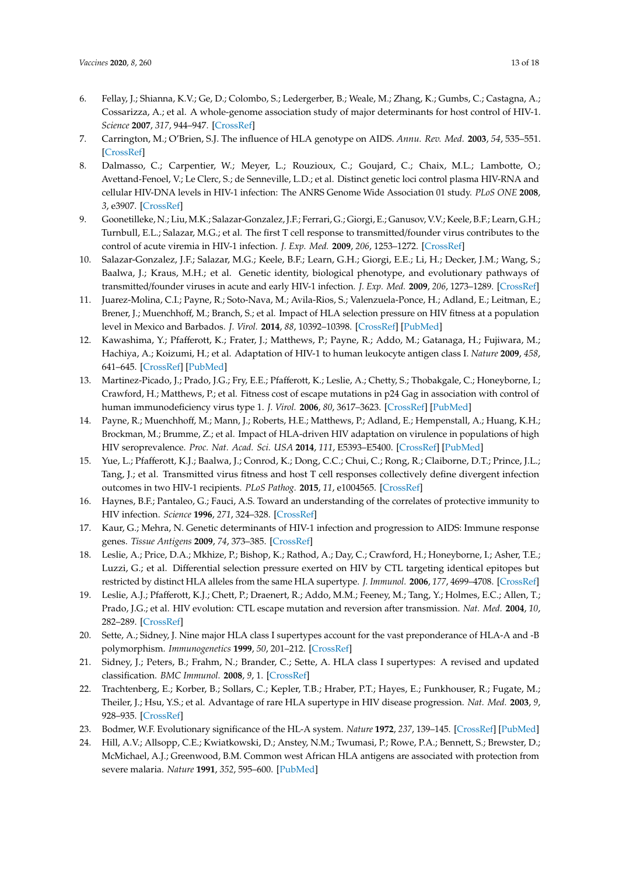- 6. Fellay, J.; Shianna, K.V.; Ge, D.; Colombo, S.; Ledergerber, B.; Weale, M.; Zhang, K.; Gumbs, C.; Castagna, A.; Cossarizza, A.; et al. A whole-genome association study of major determinants for host control of HIV-1. *Science* **2007**, *317*, 944–947. [CrossRef]
- 7. Carrington, M.; O'Brien, S.J. The influence of HLA genotype on AIDS. *Annu. Rev. Med.* **2003**, *54*, 535–551. [CrossRef]
- 8. Dalmasso, C.; Carpentier, W.; Meyer, L.; Rouzioux, C.; Goujard, C.; Chaix, M.L.; Lambotte, O.; Avettand-Fenoel, V.; Le Clerc, S.; de Senneville, L.D.; et al. Distinct genetic loci control plasma HIV-RNA and cellular HIV-DNA levels in HIV-1 infection: The ANRS Genome Wide Association 01 study. *PLoS ONE* **2008**, *3*, e3907. [CrossRef]
- 9. Goonetilleke, N.; Liu, M.K.; Salazar-Gonzalez, J.F.; Ferrari, G.; Giorgi, E.; Ganusov, V.V.; Keele, B.F.; Learn, G.H.; Turnbull, E.L.; Salazar, M.G.; et al. The first T cell response to transmitted/founder virus contributes to the control of acute viremia in HIV-1 infection. *J. Exp. Med.* **2009**, *206*, 1253–1272. [CrossRef]
- 10. Salazar-Gonzalez, J.F.; Salazar, M.G.; Keele, B.F.; Learn, G.H.; Giorgi, E.E.; Li, H.; Decker, J.M.; Wang, S.; Baalwa, J.; Kraus, M.H.; et al. Genetic identity, biological phenotype, and evolutionary pathways of transmitted/founder viruses in acute and early HIV-1 infection. *J. Exp. Med.* **2009**, *206*, 1273–1289. [CrossRef]
- 11. Juarez-Molina, C.I.; Payne, R.; Soto-Nava, M.; Avila-Rios, S.; Valenzuela-Ponce, H.; Adland, E.; Leitman, E.; Brener, J.; Muenchhoff, M.; Branch, S.; et al. Impact of HLA selection pressure on HIV fitness at a population level in Mexico and Barbados. *J. Virol.* **2014**, *88*, 10392–10398. [CrossRef] [PubMed]
- 12. Kawashima, Y.; Pfafferott, K.; Frater, J.; Matthews, P.; Payne, R.; Addo, M.; Gatanaga, H.; Fujiwara, M.; Hachiya, A.; Koizumi, H.; et al. Adaptation of HIV-1 to human leukocyte antigen class I. *Nature* **2009**, *458*, 641–645. [CrossRef] [PubMed]
- 13. Martinez-Picado, J.; Prado, J.G.; Fry, E.E.; Pfafferott, K.; Leslie, A.; Chetty, S.; Thobakgale, C.; Honeyborne, I.; Crawford, H.; Matthews, P.; et al. Fitness cost of escape mutations in p24 Gag in association with control of human immunodeficiency virus type 1. *J. Virol.* **2006**, *80*, 3617–3623. [CrossRef] [PubMed]
- 14. Payne, R.; Muenchhoff, M.; Mann, J.; Roberts, H.E.; Matthews, P.; Adland, E.; Hempenstall, A.; Huang, K.H.; Brockman, M.; Brumme, Z.; et al. Impact of HLA-driven HIV adaptation on virulence in populations of high HIV seroprevalence. *Proc. Nat. Acad. Sci. USA* **2014**, *111*, E5393–E5400. [CrossRef] [PubMed]
- 15. Yue, L.; Pfafferott, K.J.; Baalwa, J.; Conrod, K.; Dong, C.C.; Chui, C.; Rong, R.; Claiborne, D.T.; Prince, J.L.; Tang, J.; et al. Transmitted virus fitness and host T cell responses collectively define divergent infection outcomes in two HIV-1 recipients. *PLoS Pathog.* **2015**, *11*, e1004565. [CrossRef]
- 16. Haynes, B.F.; Pantaleo, G.; Fauci, A.S. Toward an understanding of the correlates of protective immunity to HIV infection. *Science* **1996**, *271*, 324–328. [CrossRef]
- 17. Kaur, G.; Mehra, N. Genetic determinants of HIV-1 infection and progression to AIDS: Immune response genes. *Tissue Antigens* **2009**, *74*, 373–385. [CrossRef]
- 18. Leslie, A.; Price, D.A.; Mkhize, P.; Bishop, K.; Rathod, A.; Day, C.; Crawford, H.; Honeyborne, I.; Asher, T.E.; Luzzi, G.; et al. Differential selection pressure exerted on HIV by CTL targeting identical epitopes but restricted by distinct HLA alleles from the same HLA supertype. *J. Immunol.* **2006**, *177*, 4699–4708. [CrossRef]
- 19. Leslie, A.J.; Pfafferott, K.J.; Chett, P.; Draenert, R.; Addo, M.M.; Feeney, M.; Tang, Y.; Holmes, E.C.; Allen, T.; Prado, J.G.; et al. HIV evolution: CTL escape mutation and reversion after transmission. *Nat. Med.* **2004**, *10*, 282–289. [CrossRef]
- 20. Sette, A.; Sidney, J. Nine major HLA class I supertypes account for the vast preponderance of HLA-A and -B polymorphism. *Immunogenetics* **1999**, *50*, 201–212. [CrossRef]
- 21. Sidney, J.; Peters, B.; Frahm, N.; Brander, C.; Sette, A. HLA class I supertypes: A revised and updated classification. *BMC Immunol.* **2008**, *9*, 1. [CrossRef]
- 22. Trachtenberg, E.; Korber, B.; Sollars, C.; Kepler, T.B.; Hraber, P.T.; Hayes, E.; Funkhouser, R.; Fugate, M.; Theiler, J.; Hsu, Y.S.; et al. Advantage of rare HLA supertype in HIV disease progression. *Nat. Med.* **2003**, *9*, 928–935. [CrossRef]
- 23. Bodmer, W.F. Evolutionary significance of the HL-A system. *Nature* **1972**, *237*, 139–145. [CrossRef] [PubMed]
- 24. Hill, A.V.; Allsopp, C.E.; Kwiatkowski, D.; Anstey, N.M.; Twumasi, P.; Rowe, P.A.; Bennett, S.; Brewster, D.; McMichael, A.J.; Greenwood, B.M. Common west African HLA antigens are associated with protection from severe malaria. *Nature* **1991**, *352*, 595–600. [PubMed]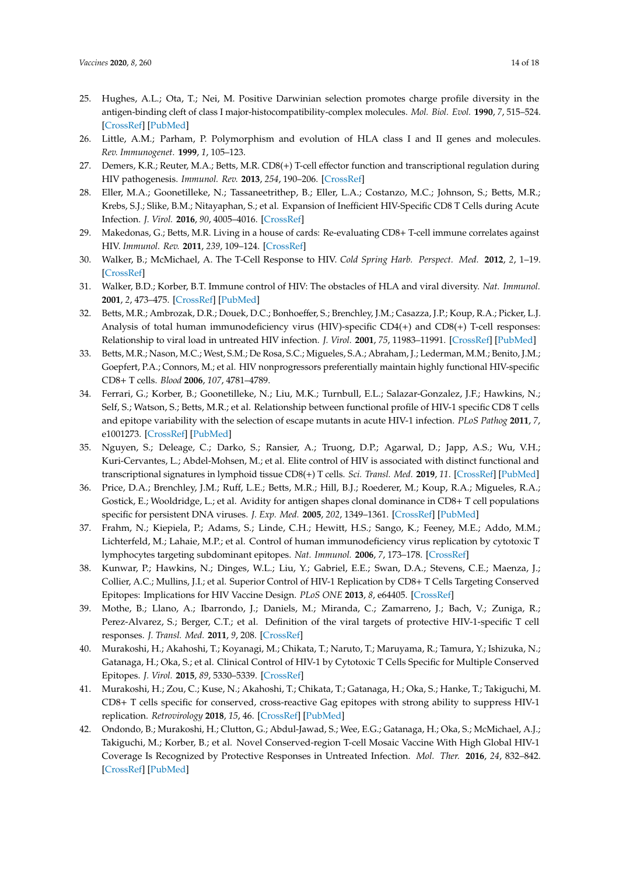- 25. Hughes, A.L.; Ota, T.; Nei, M. Positive Darwinian selection promotes charge profile diversity in the antigen-binding cleft of class I major-histocompatibility-complex molecules. *Mol. Biol. Evol.* **1990**, *7*, 515–524. [CrossRef] [PubMed]
- 26. Little, A.M.; Parham, P. Polymorphism and evolution of HLA class I and II genes and molecules. *Rev. Immunogenet.* **1999**, *1*, 105–123.
- 27. Demers, K.R.; Reuter, M.A.; Betts, M.R. CD8(+) T-cell effector function and transcriptional regulation during HIV pathogenesis. *Immunol. Rev.* **2013**, *254*, 190–206. [CrossRef]
- 28. Eller, M.A.; Goonetilleke, N.; Tassaneetrithep, B.; Eller, L.A.; Costanzo, M.C.; Johnson, S.; Betts, M.R.; Krebs, S.J.; Slike, B.M.; Nitayaphan, S.; et al. Expansion of Inefficient HIV-Specific CD8 T Cells during Acute Infection. *J. Virol.* **2016**, *90*, 4005–4016. [CrossRef]
- 29. Makedonas, G.; Betts, M.R. Living in a house of cards: Re-evaluating CD8+ T-cell immune correlates against HIV. *Immunol. Rev.* **2011**, *239*, 109–124. [CrossRef]
- 30. Walker, B.; McMichael, A. The T-Cell Response to HIV. *Cold Spring Harb. Perspect. Med.* **2012**, *2*, 1–19. [CrossRef]
- 31. Walker, B.D.; Korber, B.T. Immune control of HIV: The obstacles of HLA and viral diversity. *Nat. Immunol.* **2001**, *2*, 473–475. [CrossRef] [PubMed]
- 32. Betts, M.R.; Ambrozak, D.R.; Douek, D.C.; Bonhoeffer, S.; Brenchley, J.M.; Casazza, J.P.; Koup, R.A.; Picker, L.J. Analysis of total human immunodeficiency virus (HIV)-specific CD4(+) and CD8(+) T-cell responses: Relationship to viral load in untreated HIV infection. *J. Virol.* **2001**, *75*, 11983–11991. [CrossRef] [PubMed]
- 33. Betts, M.R.; Nason, M.C.; West, S.M.; De Rosa, S.C.; Migueles, S.A.; Abraham, J.; Lederman, M.M.; Benito, J.M.; Goepfert, P.A.; Connors, M.; et al. HIV nonprogressors preferentially maintain highly functional HIV-specific CD8+ T cells. *Blood* **2006**, *107*, 4781–4789.
- 34. Ferrari, G.; Korber, B.; Goonetilleke, N.; Liu, M.K.; Turnbull, E.L.; Salazar-Gonzalez, J.F.; Hawkins, N.; Self, S.; Watson, S.; Betts, M.R.; et al. Relationship between functional profile of HIV-1 specific CD8 T cells and epitope variability with the selection of escape mutants in acute HIV-1 infection. *PLoS Pathog* **2011**, *7*, e1001273. [CrossRef] [PubMed]
- 35. Nguyen, S.; Deleage, C.; Darko, S.; Ransier, A.; Truong, D.P.; Agarwal, D.; Japp, A.S.; Wu, V.H.; Kuri-Cervantes, L.; Abdel-Mohsen, M.; et al. Elite control of HIV is associated with distinct functional and transcriptional signatures in lymphoid tissue CD8(+) T cells. *Sci. Transl. Med.* **2019**, *11*. [CrossRef] [PubMed]
- 36. Price, D.A.; Brenchley, J.M.; Ruff, L.E.; Betts, M.R.; Hill, B.J.; Roederer, M.; Koup, R.A.; Migueles, R.A.; Gostick, E.; Wooldridge, L.; et al. Avidity for antigen shapes clonal dominance in CD8+ T cell populations specific for persistent DNA viruses. *J. Exp. Med.* **2005**, *202*, 1349–1361. [CrossRef] [PubMed]
- 37. Frahm, N.; Kiepiela, P.; Adams, S.; Linde, C.H.; Hewitt, H.S.; Sango, K.; Feeney, M.E.; Addo, M.M.; Lichterfeld, M.; Lahaie, M.P.; et al. Control of human immunodeficiency virus replication by cytotoxic T lymphocytes targeting subdominant epitopes. *Nat. Immunol.* **2006**, *7*, 173–178. [CrossRef]
- 38. Kunwar, P.; Hawkins, N.; Dinges, W.L.; Liu, Y.; Gabriel, E.E.; Swan, D.A.; Stevens, C.E.; Maenza, J.; Collier, A.C.; Mullins, J.I.; et al. Superior Control of HIV-1 Replication by CD8+ T Cells Targeting Conserved Epitopes: Implications for HIV Vaccine Design. *PLoS ONE* **2013**, *8*, e64405. [CrossRef]
- 39. Mothe, B.; Llano, A.; Ibarrondo, J.; Daniels, M.; Miranda, C.; Zamarreno, J.; Bach, V.; Zuniga, R.; Perez-Alvarez, S.; Berger, C.T.; et al. Definition of the viral targets of protective HIV-1-specific T cell responses. *J. Transl. Med.* **2011**, *9*, 208. [CrossRef]
- 40. Murakoshi, H.; Akahoshi, T.; Koyanagi, M.; Chikata, T.; Naruto, T.; Maruyama, R.; Tamura, Y.; Ishizuka, N.; Gatanaga, H.; Oka, S.; et al. Clinical Control of HIV-1 by Cytotoxic T Cells Specific for Multiple Conserved Epitopes. *J. Virol.* **2015**, *89*, 5330–5339. [CrossRef]
- 41. Murakoshi, H.; Zou, C.; Kuse, N.; Akahoshi, T.; Chikata, T.; Gatanaga, H.; Oka, S.; Hanke, T.; Takiguchi, M. CD8+ T cells specific for conserved, cross-reactive Gag epitopes with strong ability to suppress HIV-1 replication. *Retrovirology* **2018**, *15*, 46. [CrossRef] [PubMed]
- 42. Ondondo, B.; Murakoshi, H.; Clutton, G.; Abdul-Jawad, S.; Wee, E.G.; Gatanaga, H.; Oka, S.; McMichael, A.J.; Takiguchi, M.; Korber, B.; et al. Novel Conserved-region T-cell Mosaic Vaccine With High Global HIV-1 Coverage Is Recognized by Protective Responses in Untreated Infection. *Mol. Ther.* **2016**, *24*, 832–842. [CrossRef] [PubMed]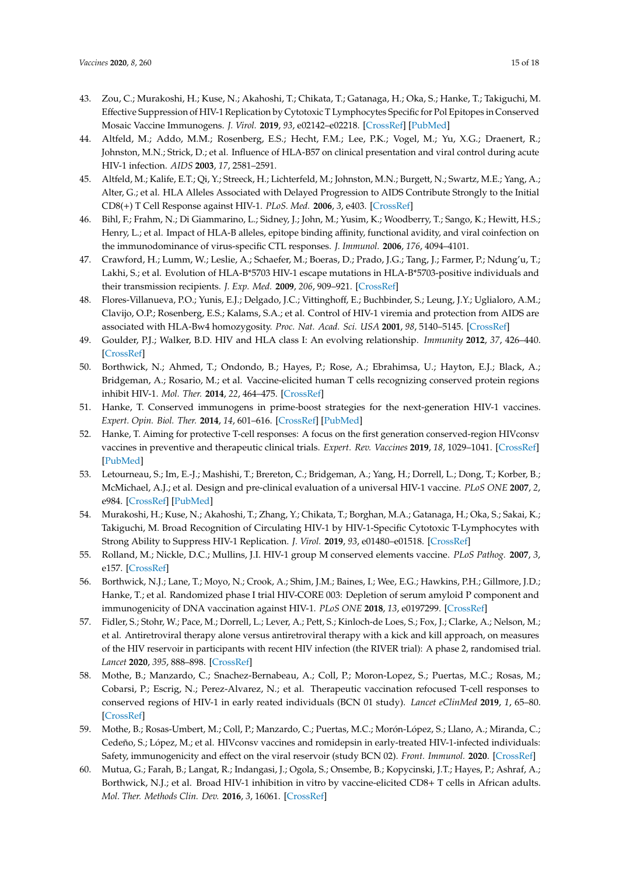- 43. Zou, C.; Murakoshi, H.; Kuse, N.; Akahoshi, T.; Chikata, T.; Gatanaga, H.; Oka, S.; Hanke, T.; Takiguchi, M. Effective Suppression of HIV-1 Replication by Cytotoxic T Lymphocytes Specific for Pol Epitopes in Conserved Mosaic Vaccine Immunogens. *J. Virol.* **2019**, *93*, e02142–e02218. [CrossRef] [PubMed]
- 44. Altfeld, M.; Addo, M.M.; Rosenberg, E.S.; Hecht, F.M.; Lee, P.K.; Vogel, M.; Yu, X.G.; Draenert, R.; Johnston, M.N.; Strick, D.; et al. Influence of HLA-B57 on clinical presentation and viral control during acute HIV-1 infection. *AIDS* **2003**, *17*, 2581–2591.
- 45. Altfeld, M.; Kalife, E.T.; Qi, Y.; Streeck, H.; Lichterfeld, M.; Johnston, M.N.; Burgett, N.; Swartz, M.E.; Yang, A.; Alter, G.; et al. HLA Alleles Associated with Delayed Progression to AIDS Contribute Strongly to the Initial CD8(+) T Cell Response against HIV-1. *PLoS. Med.* **2006**, *3*, e403. [CrossRef]
- 46. Bihl, F.; Frahm, N.; Di Giammarino, L.; Sidney, J.; John, M.; Yusim, K.; Woodberry, T.; Sango, K.; Hewitt, H.S.; Henry, L.; et al. Impact of HLA-B alleles, epitope binding affinity, functional avidity, and viral coinfection on the immunodominance of virus-specific CTL responses. *J. Immunol.* **2006**, *176*, 4094–4101.
- 47. Crawford, H.; Lumm, W.; Leslie, A.; Schaefer, M.; Boeras, D.; Prado, J.G.; Tang, J.; Farmer, P.; Ndung'u, T.; Lakhi, S.; et al. Evolution of HLA-B\*5703 HIV-1 escape mutations in HLA-B\*5703-positive individuals and their transmission recipients. *J. Exp. Med.* **2009**, *206*, 909–921. [CrossRef]
- 48. Flores-Villanueva, P.O.; Yunis, E.J.; Delgado, J.C.; Vittinghoff, E.; Buchbinder, S.; Leung, J.Y.; Uglialoro, A.M.; Clavijo, O.P.; Rosenberg, E.S.; Kalams, S.A.; et al. Control of HIV-1 viremia and protection from AIDS are associated with HLA-Bw4 homozygosity. *Proc. Nat. Acad. Sci. USA* **2001**, *98*, 5140–5145. [CrossRef]
- 49. Goulder, P.J.; Walker, B.D. HIV and HLA class I: An evolving relationship. *Immunity* **2012**, *37*, 426–440. [CrossRef]
- 50. Borthwick, N.; Ahmed, T.; Ondondo, B.; Hayes, P.; Rose, A.; Ebrahimsa, U.; Hayton, E.J.; Black, A.; Bridgeman, A.; Rosario, M.; et al. Vaccine-elicited human T cells recognizing conserved protein regions inhibit HIV-1. *Mol. Ther.* **2014**, *22*, 464–475. [CrossRef]
- 51. Hanke, T. Conserved immunogens in prime-boost strategies for the next-generation HIV-1 vaccines. *Expert. Opin. Biol. Ther.* **2014**, *14*, 601–616. [CrossRef] [PubMed]
- 52. Hanke, T. Aiming for protective T-cell responses: A focus on the first generation conserved-region HIVconsv vaccines in preventive and therapeutic clinical trials. *Expert. Rev. Vaccines* **2019**, *18*, 1029–1041. [CrossRef] [PubMed]
- 53. Letourneau, S.; Im, E.-J.; Mashishi, T.; Brereton, C.; Bridgeman, A.; Yang, H.; Dorrell, L.; Dong, T.; Korber, B.; McMichael, A.J.; et al. Design and pre-clinical evaluation of a universal HIV-1 vaccine. *PLoS ONE* **2007**, *2*, e984. [CrossRef] [PubMed]
- 54. Murakoshi, H.; Kuse, N.; Akahoshi, T.; Zhang, Y.; Chikata, T.; Borghan, M.A.; Gatanaga, H.; Oka, S.; Sakai, K.; Takiguchi, M. Broad Recognition of Circulating HIV-1 by HIV-1-Specific Cytotoxic T-Lymphocytes with Strong Ability to Suppress HIV-1 Replication. *J. Virol.* **2019**, *93*, e01480–e01518. [CrossRef]
- 55. Rolland, M.; Nickle, D.C.; Mullins, J.I. HIV-1 group M conserved elements vaccine. *PLoS Pathog.* **2007**, *3*, e157. [CrossRef]
- 56. Borthwick, N.J.; Lane, T.; Moyo, N.; Crook, A.; Shim, J.M.; Baines, I.; Wee, E.G.; Hawkins, P.H.; Gillmore, J.D.; Hanke, T.; et al. Randomized phase I trial HIV-CORE 003: Depletion of serum amyloid P component and immunogenicity of DNA vaccination against HIV-1. *PLoS ONE* **2018**, *13*, e0197299. [CrossRef]
- 57. Fidler, S.; Stohr, W.; Pace, M.; Dorrell, L.; Lever, A.; Pett, S.; Kinloch-de Loes, S.; Fox, J.; Clarke, A.; Nelson, M.; et al. Antiretroviral therapy alone versus antiretroviral therapy with a kick and kill approach, on measures of the HIV reservoir in participants with recent HIV infection (the RIVER trial): A phase 2, randomised trial. *Lancet* **2020**, *395*, 888–898. [CrossRef]
- 58. Mothe, B.; Manzardo, C.; Snachez-Bernabeau, A.; Coll, P.; Moron-Lopez, S.; Puertas, M.C.; Rosas, M.; Cobarsi, P.; Escrig, N.; Perez-Alvarez, N.; et al. Therapeutic vaccination refocused T-cell responses to conserved regions of HIV-1 in early reated individuals (BCN 01 study). *Lancet eClinMed* **2019**, *1*, 65–80. [CrossRef]
- 59. Mothe, B.; Rosas-Umbert, M.; Coll, P.; Manzardo, C.; Puertas, M.C.; Morón-López, S.; Llano, A.; Miranda, C.; Cedeño, S.; López, M.; et al. HIVconsv vaccines and romidepsin in early-treated HIV-1-infected individuals: Safety, immunogenicity and effect on the viral reservoir (study BCN 02). *Front. Immunol.* **2020**. [CrossRef]
- 60. Mutua, G.; Farah, B.; Langat, R.; Indangasi, J.; Ogola, S.; Onsembe, B.; Kopycinski, J.T.; Hayes, P.; Ashraf, A.; Borthwick, N.J.; et al. Broad HIV-1 inhibition in vitro by vaccine-elicited CD8+ T cells in African adults. *Mol. Ther. Methods Clin. Dev.* **2016**, *3*, 16061. [CrossRef]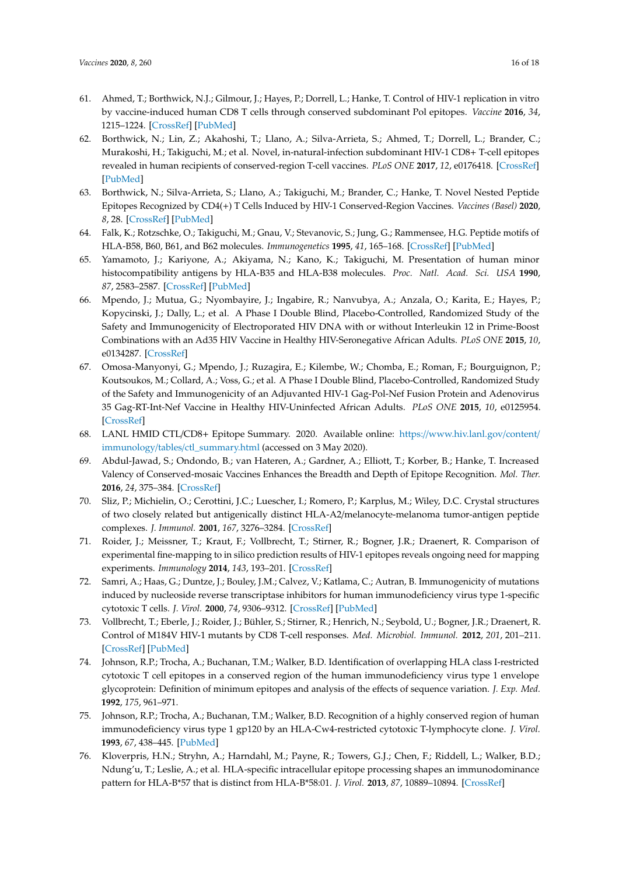- 61. Ahmed, T.; Borthwick, N.J.; Gilmour, J.; Hayes, P.; Dorrell, L.; Hanke, T. Control of HIV-1 replication in vitro by vaccine-induced human CD8 T cells through conserved subdominant Pol epitopes. *Vaccine* **2016**, *34*, 1215–1224. [CrossRef] [PubMed]
- 62. Borthwick, N.; Lin, Z.; Akahoshi, T.; Llano, A.; Silva-Arrieta, S.; Ahmed, T.; Dorrell, L.; Brander, C.; Murakoshi, H.; Takiguchi, M.; et al. Novel, in-natural-infection subdominant HIV-1 CD8+ T-cell epitopes revealed in human recipients of conserved-region T-cell vaccines. *PLoS ONE* **2017**, *12*, e0176418. [CrossRef] [PubMed]
- 63. Borthwick, N.; Silva-Arrieta, S.; Llano, A.; Takiguchi, M.; Brander, C.; Hanke, T. Novel Nested Peptide Epitopes Recognized by CD4(+) T Cells Induced by HIV-1 Conserved-Region Vaccines. *Vaccines (Basel)* **2020**, *8*, 28. [CrossRef] [PubMed]
- 64. Falk, K.; Rotzschke, O.; Takiguchi, M.; Gnau, V.; Stevanovic, S.; Jung, G.; Rammensee, H.G. Peptide motifs of HLA-B58, B60, B61, and B62 molecules. *Immunogenetics* **1995**, *41*, 165–168. [CrossRef] [PubMed]
- 65. Yamamoto, J.; Kariyone, A.; Akiyama, N.; Kano, K.; Takiguchi, M. Presentation of human minor histocompatibility antigens by HLA-B35 and HLA-B38 molecules. *Proc. Natl. Acad. Sci. USA* **1990**, *87*, 2583–2587. [CrossRef] [PubMed]
- 66. Mpendo, J.; Mutua, G.; Nyombayire, J.; Ingabire, R.; Nanvubya, A.; Anzala, O.; Karita, E.; Hayes, P.; Kopycinski, J.; Dally, L.; et al. A Phase I Double Blind, Placebo-Controlled, Randomized Study of the Safety and Immunogenicity of Electroporated HIV DNA with or without Interleukin 12 in Prime-Boost Combinations with an Ad35 HIV Vaccine in Healthy HIV-Seronegative African Adults. *PLoS ONE* **2015**, *10*, e0134287. [CrossRef]
- 67. Omosa-Manyonyi, G.; Mpendo, J.; Ruzagira, E.; Kilembe, W.; Chomba, E.; Roman, F.; Bourguignon, P.; Koutsoukos, M.; Collard, A.; Voss, G.; et al. A Phase I Double Blind, Placebo-Controlled, Randomized Study of the Safety and Immunogenicity of an Adjuvanted HIV-1 Gag-Pol-Nef Fusion Protein and Adenovirus 35 Gag-RT-Int-Nef Vaccine in Healthy HIV-Uninfected African Adults. *PLoS ONE* **2015**, *10*, e0125954. [CrossRef]
- 68. LANL HMID CTL/CD8+ Epitope Summary. 2020. Available online: https://www.hiv.lanl.gov/content/ immunology/tables/ctl\_summary.html (accessed on 3 May 2020).
- 69. Abdul-Jawad, S.; Ondondo, B.; van Hateren, A.; Gardner, A.; Elliott, T.; Korber, B.; Hanke, T. Increased Valency of Conserved-mosaic Vaccines Enhances the Breadth and Depth of Epitope Recognition. *Mol. Ther.* **2016**, *24*, 375–384. [CrossRef]
- 70. Sliz, P.; Michielin, O.; Cerottini, J.C.; Luescher, I.; Romero, P.; Karplus, M.; Wiley, D.C. Crystal structures of two closely related but antigenically distinct HLA-A2/melanocyte-melanoma tumor-antigen peptide complexes. *J. Immunol.* **2001**, *167*, 3276–3284. [CrossRef]
- 71. Roider, J.; Meissner, T.; Kraut, F.; Vollbrecht, T.; Stirner, R.; Bogner, J.R.; Draenert, R. Comparison of experimental fine-mapping to in silico prediction results of HIV-1 epitopes reveals ongoing need for mapping experiments. *Immunology* **2014**, *143*, 193–201. [CrossRef]
- 72. Samri, A.; Haas, G.; Duntze, J.; Bouley, J.M.; Calvez, V.; Katlama, C.; Autran, B. Immunogenicity of mutations induced by nucleoside reverse transcriptase inhibitors for human immunodeficiency virus type 1-specific cytotoxic T cells. *J. Virol.* **2000**, *74*, 9306–9312. [CrossRef] [PubMed]
- 73. Vollbrecht, T.; Eberle, J.; Roider, J.; Bühler, S.; Stirner, R.; Henrich, N.; Seybold, U.; Bogner, J.R.; Draenert, R. Control of M184V HIV-1 mutants by CD8 T-cell responses. *Med. Microbiol. Immunol.* **2012**, *201*, 201–211. [CrossRef] [PubMed]
- 74. Johnson, R.P.; Trocha, A.; Buchanan, T.M.; Walker, B.D. Identification of overlapping HLA class I-restricted cytotoxic T cell epitopes in a conserved region of the human immunodeficiency virus type 1 envelope glycoprotein: Definition of minimum epitopes and analysis of the effects of sequence variation. *J. Exp. Med.* **1992**, *175*, 961–971.
- 75. Johnson, R.P.; Trocha, A.; Buchanan, T.M.; Walker, B.D. Recognition of a highly conserved region of human immunodeficiency virus type 1 gp120 by an HLA-Cw4-restricted cytotoxic T-lymphocyte clone. *J. Virol.* **1993**, *67*, 438–445. [PubMed]
- 76. Kloverpris, H.N.; Stryhn, A.; Harndahl, M.; Payne, R.; Towers, G.J.; Chen, F.; Riddell, L.; Walker, B.D.; Ndung'u, T.; Leslie, A.; et al. HLA-specific intracellular epitope processing shapes an immunodominance pattern for HLA-B\*57 that is distinct from HLA-B\*58:01. *J. Virol.* **2013**, *87*, 10889–10894. [CrossRef]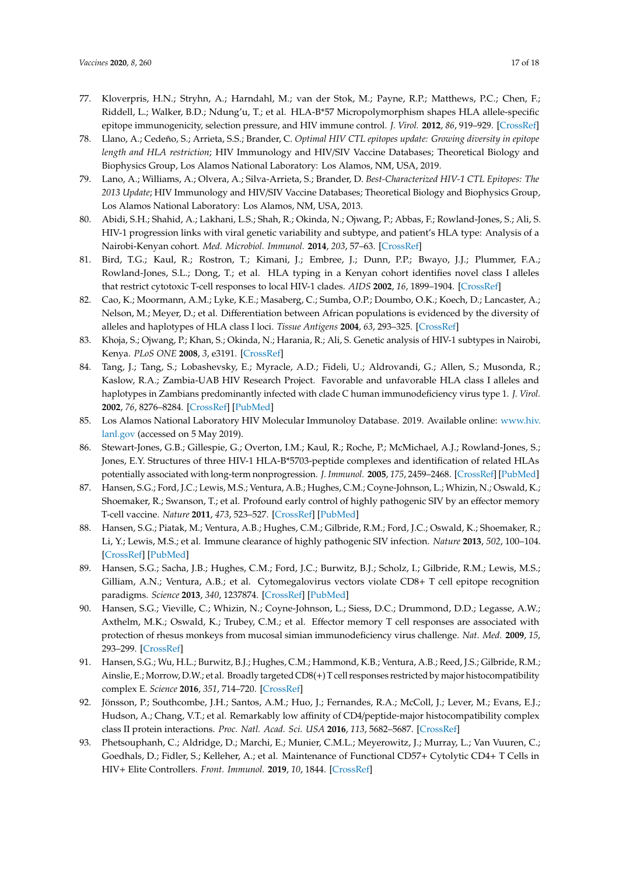- 77. Kloverpris, H.N.; Stryhn, A.; Harndahl, M.; van der Stok, M.; Payne, R.P.; Matthews, P.C.; Chen, F.; Riddell, L.; Walker, B.D.; Ndung'u, T.; et al. HLA-B\*57 Micropolymorphism shapes HLA allele-specific epitope immunogenicity, selection pressure, and HIV immune control. *J. Virol.* **2012**, *86*, 919–929. [CrossRef]
- 78. Llano, A.; Cedeño, S.; Arrieta, S.S.; Brander, C. *Optimal HIV CTL epitopes update: Growing diversity in epitope length and HLA restriction*; HIV Immunology and HIV/SIV Vaccine Databases; Theoretical Biology and Biophysics Group, Los Alamos National Laboratory: Los Alamos, NM, USA, 2019.
- 79. Lano, A.; Williams, A.; Olvera, A.; Silva-Arrieta, S.; Brander, D. *Best-Characterized HIV-1 CTL Epitopes: The 2013 Update*; HIV Immunology and HIV/SIV Vaccine Databases; Theoretical Biology and Biophysics Group, Los Alamos National Laboratory: Los Alamos, NM, USA, 2013.
- 80. Abidi, S.H.; Shahid, A.; Lakhani, L.S.; Shah, R.; Okinda, N.; Ojwang, P.; Abbas, F.; Rowland-Jones, S.; Ali, S. HIV-1 progression links with viral genetic variability and subtype, and patient's HLA type: Analysis of a Nairobi-Kenyan cohort. *Med. Microbiol. Immunol.* **2014**, *203*, 57–63. [CrossRef]
- 81. Bird, T.G.; Kaul, R.; Rostron, T.; Kimani, J.; Embree, J.; Dunn, P.P.; Bwayo, J.J.; Plummer, F.A.; Rowland-Jones, S.L.; Dong, T.; et al. HLA typing in a Kenyan cohort identifies novel class I alleles that restrict cytotoxic T-cell responses to local HIV-1 clades. *AIDS* **2002**, *16*, 1899–1904. [CrossRef]
- 82. Cao, K.; Moormann, A.M.; Lyke, K.E.; Masaberg, C.; Sumba, O.P.; Doumbo, O.K.; Koech, D.; Lancaster, A.; Nelson, M.; Meyer, D.; et al. Differentiation between African populations is evidenced by the diversity of alleles and haplotypes of HLA class I loci. *Tissue Antigens* **2004**, *63*, 293–325. [CrossRef]
- 83. Khoja, S.; Ojwang, P.; Khan, S.; Okinda, N.; Harania, R.; Ali, S. Genetic analysis of HIV-1 subtypes in Nairobi, Kenya. *PLoS ONE* **2008**, *3*, e3191. [CrossRef]
- 84. Tang, J.; Tang, S.; Lobashevsky, E.; Myracle, A.D.; Fideli, U.; Aldrovandi, G.; Allen, S.; Musonda, R.; Kaslow, R.A.; Zambia-UAB HIV Research Project. Favorable and unfavorable HLA class I alleles and haplotypes in Zambians predominantly infected with clade C human immunodeficiency virus type 1. *J. Virol.* **2002**, *76*, 8276–8284. [CrossRef] [PubMed]
- 85. Los Alamos National Laboratory HIV Molecular Immunoloy Database. 2019. Available online: www.hiv. lanl.gov (accessed on 5 May 2019).
- 86. Stewart-Jones, G.B.; Gillespie, G.; Overton, I.M.; Kaul, R.; Roche, P.; McMichael, A.J.; Rowland-Jones, S.; Jones, E.Y. Structures of three HIV-1 HLA-B\*5703-peptide complexes and identification of related HLAs potentially associated with long-term nonprogression. *J. Immunol.* **2005**, *175*, 2459–2468. [CrossRef] [PubMed]
- 87. Hansen, S.G.; Ford, J.C.; Lewis, M.S.; Ventura, A.B.; Hughes, C.M.; Coyne-Johnson, L.; Whizin, N.; Oswald, K.; Shoemaker, R.; Swanson, T.; et al. Profound early control of highly pathogenic SIV by an effector memory T-cell vaccine. *Nature* **2011**, *473*, 523–527. [CrossRef] [PubMed]
- 88. Hansen, S.G.; Piatak, M.; Ventura, A.B.; Hughes, C.M.; Gilbride, R.M.; Ford, J.C.; Oswald, K.; Shoemaker, R.; Li, Y.; Lewis, M.S.; et al. Immune clearance of highly pathogenic SIV infection. *Nature* **2013**, *502*, 100–104. [CrossRef] [PubMed]
- 89. Hansen, S.G.; Sacha, J.B.; Hughes, C.M.; Ford, J.C.; Burwitz, B.J.; Scholz, I.; Gilbride, R.M.; Lewis, M.S.; Gilliam, A.N.; Ventura, A.B.; et al. Cytomegalovirus vectors violate CD8+ T cell epitope recognition paradigms. *Science* **2013**, *340*, 1237874. [CrossRef] [PubMed]
- 90. Hansen, S.G.; Vieville, C.; Whizin, N.; Coyne-Johnson, L.; Siess, D.C.; Drummond, D.D.; Legasse, A.W.; Axthelm, M.K.; Oswald, K.; Trubey, C.M.; et al. Effector memory T cell responses are associated with protection of rhesus monkeys from mucosal simian immunodeficiency virus challenge. *Nat. Med.* **2009**, *15*, 293–299. [CrossRef]
- 91. Hansen, S.G.; Wu, H.L.; Burwitz, B.J.; Hughes, C.M.; Hammond, K.B.; Ventura, A.B.; Reed, J.S.; Gilbride, R.M.; Ainslie, E.; Morrow, D.W.; et al. Broadly targeted CD8(+) T cell responses restricted by major histocompatibility complex E. *Science* **2016**, *351*, 714–720. [CrossRef]
- 92. Jönsson, P.; Southcombe, J.H.; Santos, A.M.; Huo, J.; Fernandes, R.A.; McColl, J.; Lever, M.; Evans, E.J.; Hudson, A.; Chang, V.T.; et al. Remarkably low affinity of CD4/peptide-major histocompatibility complex class II protein interactions. *Proc. Natl. Acad. Sci. USA* **2016**, *113*, 5682–5687. [CrossRef]
- 93. Phetsouphanh, C.; Aldridge, D.; Marchi, E.; Munier, C.M.L.; Meyerowitz, J.; Murray, L.; Van Vuuren, C.; Goedhals, D.; Fidler, S.; Kelleher, A.; et al. Maintenance of Functional CD57+ Cytolytic CD4+ T Cells in HIV+ Elite Controllers. *Front. Immunol.* **2019**, *10*, 1844. [CrossRef]